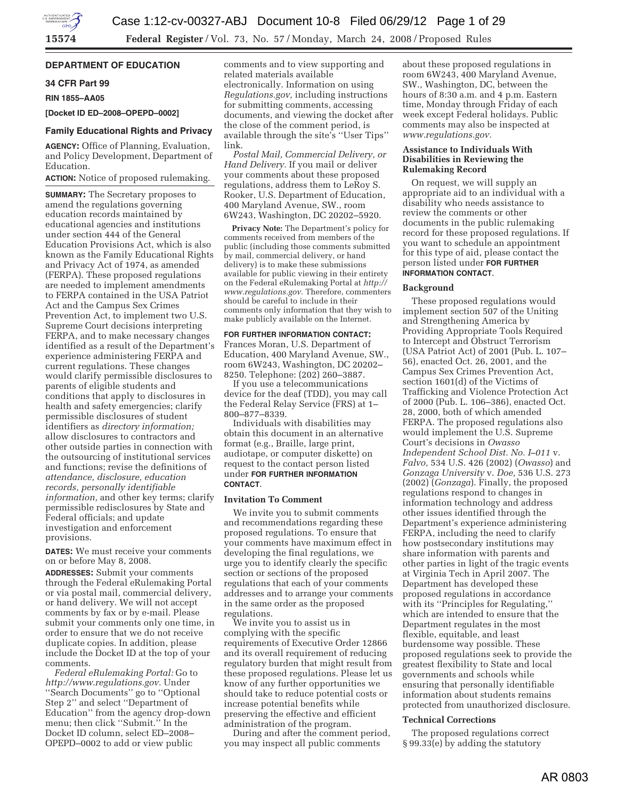## **DEPARTMENT OF EDUCATION**

# **34 CFR Part 99**

**RIN 1855–AA05** 

## **[Docket ID ED–2008–OPEPD–0002]**

## **Family Educational Rights and Privacy**

**AGENCY:** Office of Planning, Evaluation, and Policy Development, Department of Education.

## **ACTION:** Notice of proposed rulemaking.

**SUMMARY:** The Secretary proposes to amend the regulations governing education records maintained by educational agencies and institutions under section 444 of the General Education Provisions Act, which is also known as the Family Educational Rights and Privacy Act of 1974, as amended (FERPA). These proposed regulations are needed to implement amendments to FERPA contained in the USA Patriot Act and the Campus Sex Crimes Prevention Act, to implement two U.S. Supreme Court decisions interpreting FERPA, and to make necessary changes identified as a result of the Department's experience administering FERPA and current regulations. These changes would clarify permissible disclosures to parents of eligible students and conditions that apply to disclosures in health and safety emergencies; clarify permissible disclosures of student identifiers as *directory information;*  allow disclosures to contractors and other outside parties in connection with the outsourcing of institutional services and functions; revise the definitions of *attendance, disclosure, education records, personally identifiable information,* and other key terms; clarify permissible redisclosures by State and Federal officials; and update investigation and enforcement provisions.

**DATES:** We must receive your comments on or before May 8, 2008.

**ADDRESSES:** Submit your comments through the Federal eRulemaking Portal or via postal mail, commercial delivery, or hand delivery. We will not accept comments by fax or by e-mail. Please submit your comments only one time, in order to ensure that we do not receive duplicate copies. In addition, please include the Docket ID at the top of your comments.

*Federal eRulemaking Portal:* Go to *http://www.regulations.gov.* Under ''Search Documents'' go to ''Optional Step 2'' and select ''Department of Education'' from the agency drop-down menu; then click ''Submit.'' In the Docket ID column, select ED–2008– OPEPD–0002 to add or view public

comments and to view supporting and related materials available electronically. Information on using *Regulations.gov,* including instructions for submitting comments, accessing documents, and viewing the docket after the close of the comment period, is available through the site's ''User Tips'' link.

*Postal Mail, Commercial Delivery, or Hand Delivery.* If you mail or deliver your comments about these proposed regulations, address them to LeRoy S. Rooker, U.S. Department of Education, 400 Maryland Avenue, SW., room 6W243, Washington, DC 20202–5920.

**Privacy Note:** The Department's policy for comments received from members of the public (including those comments submitted by mail, commercial delivery, or hand delivery) is to make these submissions available for public viewing in their entirety on the Federal eRulemaking Portal at *http:// www.regulations.gov.* Therefore, commenters should be careful to include in their comments only information that they wish to make publicly available on the Internet.

#### **FOR FURTHER INFORMATION CONTACT:**

Frances Moran, U.S. Department of Education, 400 Maryland Avenue, SW., room 6W243, Washington, DC 20202– 8250. Telephone: (202) 260–3887.

If you use a telecommunications device for the deaf (TDD), you may call the Federal Relay Service (FRS) at 1– 800–877–8339.

Individuals with disabilities may obtain this document in an alternative format (e.g., Braille, large print, audiotape, or computer diskette) on request to the contact person listed under **FOR FURTHER INFORMATION CONTACT**.

## **Invitation To Comment**

We invite you to submit comments and recommendations regarding these proposed regulations. To ensure that your comments have maximum effect in developing the final regulations, we urge you to identify clearly the specific section or sections of the proposed regulations that each of your comments addresses and to arrange your comments in the same order as the proposed regulations.

We invite you to assist us in complying with the specific requirements of Executive Order 12866 and its overall requirement of reducing regulatory burden that might result from these proposed regulations. Please let us know of any further opportunities we should take to reduce potential costs or increase potential benefits while preserving the effective and efficient administration of the program.

During and after the comment period, you may inspect all public comments

about these proposed regulations in room 6W243, 400 Maryland Avenue, SW., Washington, DC, between the hours of 8:30 a.m. and 4 p.m. Eastern time, Monday through Friday of each week except Federal holidays. Public comments may also be inspected at *www.regulations.gov.* 

## **Assistance to Individuals With Disabilities in Reviewing the Rulemaking Record**

On request, we will supply an appropriate aid to an individual with a disability who needs assistance to review the comments or other documents in the public rulemaking record for these proposed regulations. If you want to schedule an appointment for this type of aid, please contact the person listed under **FOR FURTHER INFORMATION CONTACT**.

#### **Background**

These proposed regulations would implement section 507 of the Uniting and Strengthening America by Providing Appropriate Tools Required to Intercept and Obstruct Terrorism (USA Patriot Act) of 2001 (Pub. L. 107– 56), enacted Oct. 26, 2001, and the Campus Sex Crimes Prevention Act, section 1601(d) of the Victims of Trafficking and Violence Protection Act of 2000 (Pub. L. 106–386), enacted Oct. 28, 2000, both of which amended FERPA. The proposed regulations also would implement the U.S. Supreme Court's decisions in *Owasso Independent School Dist. No. I–011* v. *Falvo,* 534 U.S. 426 (2002) (*Owasso*) and *Gonzaga University* v. *Doe,* 536 U.S. 273 (2002) (*Gonzaga*). Finally, the proposed regulations respond to changes in information technology and address other issues identified through the Department's experience administering FERPA, including the need to clarify how postsecondary institutions may share information with parents and other parties in light of the tragic events at Virginia Tech in April 2007. The Department has developed these proposed regulations in accordance with its ''Principles for Regulating,'' which are intended to ensure that the Department regulates in the most flexible, equitable, and least burdensome way possible. These proposed regulations seek to provide the greatest flexibility to State and local governments and schools while ensuring that personally identifiable information about students remains protected from unauthorized disclosure.

### **Technical Corrections**

The proposed regulations correct § 99.33(e) by adding the statutory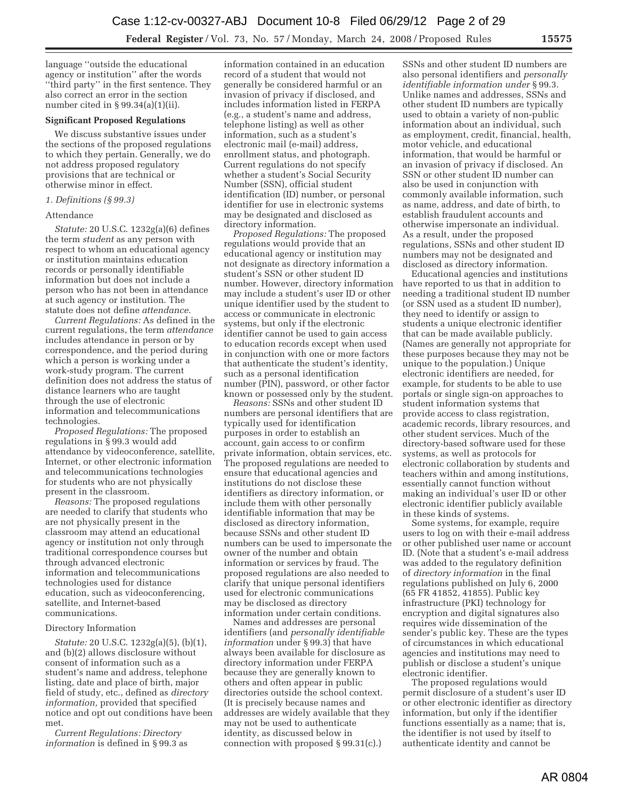language ''outside the educational agency or institution'' after the words ''third party'' in the first sentence. They also correct an error in the section number cited in § 99.34(a)(1)(ii).

## **Significant Proposed Regulations**

We discuss substantive issues under the sections of the proposed regulations to which they pertain. Generally, we do not address proposed regulatory provisions that are technical or otherwise minor in effect.

## *1. Definitions (§ 99.3)*

#### Attendance

*Statute:* 20 U.S.C. 1232g(a)(6) defines the term *student* as any person with respect to whom an educational agency or institution maintains education records or personally identifiable information but does not include a person who has not been in attendance at such agency or institution. The statute does not define *attendance.* 

*Current Regulations:* As defined in the current regulations, the term *attendance*  includes attendance in person or by correspondence, and the period during which a person is working under a work-study program. The current definition does not address the status of distance learners who are taught through the use of electronic information and telecommunications technologies.

*Proposed Regulations:* The proposed regulations in § 99.3 would add attendance by videoconference, satellite, Internet, or other electronic information and telecommunications technologies for students who are not physically present in the classroom.

*Reasons:* The proposed regulations are needed to clarify that students who are not physically present in the classroom may attend an educational agency or institution not only through traditional correspondence courses but through advanced electronic information and telecommunications technologies used for distance education, such as videoconferencing, satellite, and Internet-based communications.

## Directory Information

*Statute:* 20 U.S.C. 1232g(a)(5), (b)(1), and (b)(2) allows disclosure without consent of information such as a student's name and address, telephone listing, date and place of birth, major field of study, etc., defined as *directory information,* provided that specified notice and opt out conditions have been met.

*Current Regulations: Directory information* is defined in § 99.3 as

information contained in an education record of a student that would not generally be considered harmful or an invasion of privacy if disclosed, and includes information listed in FERPA (e.g., a student's name and address, telephone listing) as well as other information, such as a student's electronic mail (e-mail) address, enrollment status, and photograph. Current regulations do not specify whether a student's Social Security Number (SSN), official student identification (ID) number, or personal identifier for use in electronic systems may be designated and disclosed as directory information.

*Proposed Regulations:* The proposed regulations would provide that an educational agency or institution may not designate as directory information a student's SSN or other student ID number. However, directory information may include a student's user ID or other unique identifier used by the student to access or communicate in electronic systems, but only if the electronic identifier cannot be used to gain access to education records except when used in conjunction with one or more factors that authenticate the student's identity, such as a personal identification number (PIN), password, or other factor known or possessed only by the student.

*Reasons:* SSNs and other student ID numbers are personal identifiers that are typically used for identification purposes in order to establish an account, gain access to or confirm private information, obtain services, etc. The proposed regulations are needed to ensure that educational agencies and institutions do not disclose these identifiers as directory information, or include them with other personally identifiable information that may be disclosed as directory information, because SSNs and other student ID numbers can be used to impersonate the owner of the number and obtain information or services by fraud. The proposed regulations are also needed to clarify that unique personal identifiers used for electronic communications may be disclosed as directory information under certain conditions.

Names and addresses are personal identifiers (and *personally identifiable information* under § 99.3) that have always been available for disclosure as directory information under FERPA because they are generally known to others and often appear in public directories outside the school context. (It is precisely because names and addresses are widely available that they may not be used to authenticate identity, as discussed below in connection with proposed § 99.31(c).)

SSNs and other student ID numbers are also personal identifiers and *personally identifiable information under* § 99.3. Unlike names and addresses, SSNs and other student ID numbers are typically used to obtain a variety of non-public information about an individual, such as employment, credit, financial, health, motor vehicle, and educational information, that would be harmful or an invasion of privacy if disclosed. An SSN or other student ID number can also be used in conjunction with commonly available information, such as name, address, and date of birth, to establish fraudulent accounts and otherwise impersonate an individual. As a result, under the proposed regulations, SSNs and other student ID numbers may not be designated and disclosed as directory information.

Educational agencies and institutions have reported to us that in addition to needing a traditional student ID number (or SSN used as a student ID number), they need to identify or assign to students a unique electronic identifier that can be made available publicly. (Names are generally not appropriate for these purposes because they may not be unique to the population.) Unique electronic identifiers are needed, for example, for students to be able to use portals or single sign-on approaches to student information systems that provide access to class registration, academic records, library resources, and other student services. Much of the directory-based software used for these systems, as well as protocols for electronic collaboration by students and teachers within and among institutions, essentially cannot function without making an individual's user ID or other electronic identifier publicly available in these kinds of systems.

Some systems, for example, require users to log on with their e-mail address or other published user name or account ID. (Note that a student's e-mail address was added to the regulatory definition of *directory information* in the final regulations published on July 6, 2000 (65 FR 41852, 41855). Public key infrastructure (PKI) technology for encryption and digital signatures also requires wide dissemination of the sender's public key. These are the types of circumstances in which educational agencies and institutions may need to publish or disclose a student's unique electronic identifier.

The proposed regulations would permit disclosure of a student's user ID or other electronic identifier as directory information, but only if the identifier functions essentially as a name; that is, the identifier is not used by itself to authenticate identity and cannot be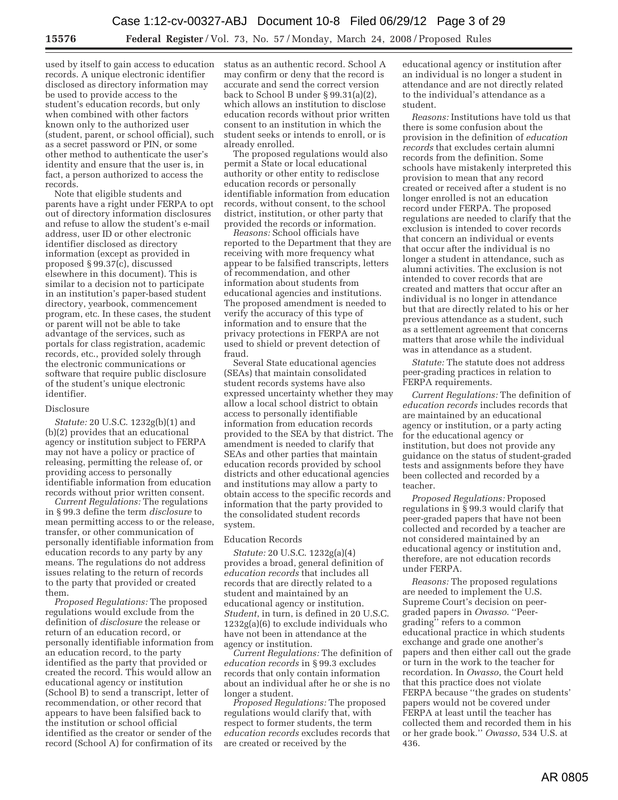used by itself to gain access to education records. A unique electronic identifier disclosed as directory information may be used to provide access to the student's education records, but only when combined with other factors known only to the authorized user (student, parent, or school official), such as a secret password or PIN, or some other method to authenticate the user's identity and ensure that the user is, in fact, a person authorized to access the records.

Note that eligible students and parents have a right under FERPA to opt out of directory information disclosures and refuse to allow the student's e-mail address, user ID or other electronic identifier disclosed as directory information (except as provided in proposed § 99.37(c), discussed elsewhere in this document). This is similar to a decision not to participate in an institution's paper-based student directory, yearbook, commencement program, etc. In these cases, the student or parent will not be able to take advantage of the services, such as portals for class registration, academic records, etc., provided solely through the electronic communications or software that require public disclosure of the student's unique electronic identifier.

#### Disclosure

*Statute:* 20 U.S.C. 1232g(b)(1) and (b)(2) provides that an educational agency or institution subject to FERPA may not have a policy or practice of releasing, permitting the release of, or providing access to personally identifiable information from education records without prior written consent.

*Current Regulations:* The regulations in § 99.3 define the term *disclosure* to mean permitting access to or the release, transfer, or other communication of personally identifiable information from education records to any party by any means. The regulations do not address issues relating to the return of records to the party that provided or created them.

*Proposed Regulations:* The proposed regulations would exclude from the definition of *disclosure* the release or return of an education record, or personally identifiable information from an education record, to the party identified as the party that provided or created the record. This would allow an educational agency or institution (School B) to send a transcript, letter of recommendation, or other record that appears to have been falsified back to the institution or school official identified as the creator or sender of the record (School A) for confirmation of its

status as an authentic record. School A may confirm or deny that the record is accurate and send the correct version back to School B under § 99.31(a)(2), which allows an institution to disclose education records without prior written consent to an institution in which the student seeks or intends to enroll, or is already enrolled.

The proposed regulations would also permit a State or local educational authority or other entity to redisclose education records or personally identifiable information from education records, without consent, to the school district, institution, or other party that provided the records or information.

*Reasons:* School officials have reported to the Department that they are receiving with more frequency what appear to be falsified transcripts, letters of recommendation, and other information about students from educational agencies and institutions. The proposed amendment is needed to verify the accuracy of this type of information and to ensure that the privacy protections in FERPA are not used to shield or prevent detection of fraud.

Several State educational agencies (SEAs) that maintain consolidated student records systems have also expressed uncertainty whether they may allow a local school district to obtain access to personally identifiable information from education records provided to the SEA by that district. The amendment is needed to clarify that SEAs and other parties that maintain education records provided by school districts and other educational agencies and institutions may allow a party to obtain access to the specific records and information that the party provided to the consolidated student records system.

#### Education Records

*Statute:* 20 U.S.C. 1232g(a)(4) provides a broad, general definition of *education records* that includes all records that are directly related to a student and maintained by an educational agency or institution. *Student*, in turn, is defined in 20 U.S.C. 1232g(a)(6) to exclude individuals who have not been in attendance at the agency or institution.

*Current Regulations:* The definition of *education records* in § 99.3 excludes records that only contain information about an individual after he or she is no longer a student.

*Proposed Regulations:* The proposed regulations would clarify that, with respect to former students, the term *education records* excludes records that are created or received by the

educational agency or institution after an individual is no longer a student in attendance and are not directly related to the individual's attendance as a student.

*Reasons:* Institutions have told us that there is some confusion about the provision in the definition of *education records* that excludes certain alumni records from the definition. Some schools have mistakenly interpreted this provision to mean that any record created or received after a student is no longer enrolled is not an education record under FERPA. The proposed regulations are needed to clarify that the exclusion is intended to cover records that concern an individual or events that occur after the individual is no longer a student in attendance, such as alumni activities. The exclusion is not intended to cover records that are created and matters that occur after an individual is no longer in attendance but that are directly related to his or her previous attendance as a student, such as a settlement agreement that concerns matters that arose while the individual was in attendance as a student.

*Statute:* The statute does not address peer-grading practices in relation to FERPA requirements.

*Current Regulations:* The definition of *education records* includes records that are maintained by an educational agency or institution, or a party acting for the educational agency or institution, but does not provide any guidance on the status of student-graded tests and assignments before they have been collected and recorded by a teacher.

*Proposed Regulations:* Proposed regulations in § 99.3 would clarify that peer-graded papers that have not been collected and recorded by a teacher are not considered maintained by an educational agency or institution and, therefore, are not education records under FERPA.

*Reasons:* The proposed regulations are needed to implement the U.S. Supreme Court's decision on peergraded papers in *Owasso*. ''Peergrading'' refers to a common educational practice in which students exchange and grade one another's papers and then either call out the grade or turn in the work to the teacher for recordation. In *Owasso*, the Court held that this practice does not violate FERPA because "the grades on students' papers would not be covered under FERPA at least until the teacher has collected them and recorded them in his or her grade book.'' *Owasso*, 534 U.S. at 436.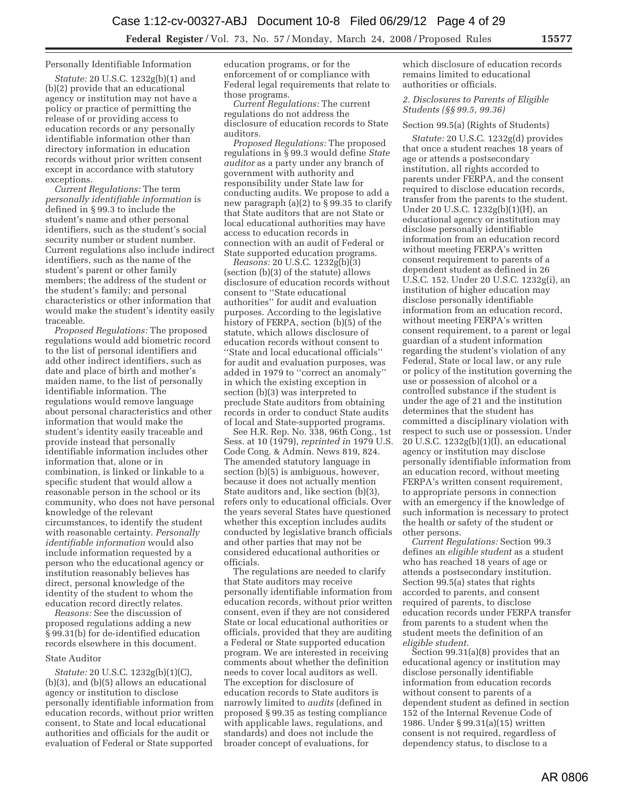### Personally Identifiable Information

*Statute:* 20 U.S.C. 1232g(b)(1) and (b)(2) provide that an educational agency or institution may not have a policy or practice of permitting the release of or providing access to education records or any personally identifiable information other than directory information in education records without prior written consent except in accordance with statutory exceptions.

*Current Regulations:* The term *personally identifiable information* is defined in § 99.3 to include the student's name and other personal identifiers, such as the student's social security number or student number. Current regulations also include indirect identifiers, such as the name of the student's parent or other family members; the address of the student or the student's family; and personal characteristics or other information that would make the student's identity easily traceable.

*Proposed Regulations:* The proposed regulations would add biometric record to the list of personal identifiers and add other indirect identifiers, such as date and place of birth and mother's maiden name, to the list of personally identifiable information. The regulations would remove language about personal characteristics and other information that would make the student's identity easily traceable and provide instead that personally identifiable information includes other information that, alone or in combination, is linked or linkable to a specific student that would allow a reasonable person in the school or its community, who does not have personal knowledge of the relevant circumstances, to identify the student with reasonable certainty. *Personally identifiable information* would also include information requested by a person who the educational agency or institution reasonably believes has direct, personal knowledge of the identity of the student to whom the education record directly relates.

*Reasons:* See the discussion of proposed regulations adding a new § 99.31(b) for de-identified education records elsewhere in this document.

## State Auditor

*Statute:* 20 U.S.C. 1232g(b)(1)(C), (b)(3), and (b)(5) allows an educational agency or institution to disclose personally identifiable information from education records, without prior written consent, to State and local educational authorities and officials for the audit or evaluation of Federal or State supported

education programs, or for the enforcement of or compliance with Federal legal requirements that relate to those programs.

*Current Regulations:* The current regulations do not address the disclosure of education records to State auditors.

*Proposed Regulations:* The proposed regulations in § 99.3 would define *State auditor* as a party under any branch of government with authority and responsibility under State law for conducting audits. We propose to add a new paragraph (a)(2) to § 99.35 to clarify that State auditors that are not State or local educational authorities may have access to education records in connection with an audit of Federal or State supported education programs.

*Reasons:* 20 U.S.C. 1232g(b)(3) (section (b)(3) of the statute) allows disclosure of education records without consent to ''State educational authorities'' for audit and evaluation purposes. According to the legislative history of FERPA, section (b)(5) of the statute, which allows disclosure of education records without consent to ''State and local educational officials'' for audit and evaluation purposes, was added in 1979 to ''correct an anomaly'' in which the existing exception in section (b)(3) was interpreted to preclude State auditors from obtaining records in order to conduct State audits of local and State-supported programs.

See H.R. Rep. No. 338, 96th Cong., 1st Sess. at 10 (1979), *reprinted in* 1979 U.S. Code Cong. & Admin. News 819, 824. The amended statutory language in section (b)(5) is ambiguous, however, because it does not actually mention State auditors and, like section (b)(3), refers only to educational officials. Over the years several States have questioned whether this exception includes audits conducted by legislative branch officials and other parties that may not be considered educational authorities or officials.

The regulations are needed to clarify that State auditors may receive personally identifiable information from education records, without prior written consent, even if they are not considered State or local educational authorities or officials, provided that they are auditing a Federal or State supported education program. We are interested in receiving comments about whether the definition needs to cover local auditors as well. The exception for disclosure of education records to State auditors is narrowly limited to *audits* (defined in proposed § 99.35 as testing compliance with applicable laws, regulations, and standards) and does not include the broader concept of evaluations, for

which disclosure of education records remains limited to educational authorities or officials.

## *2. Disclosures to Parents of Eligible Students (§§ 99.5, 99.36)*

#### Section 99.5(a) (Rights of Students)

*Statute:* 20 U.S.C. 1232g(d) provides that once a student reaches 18 years of age or attends a postsecondary institution, all rights accorded to parents under FERPA, and the consent required to disclose education records, transfer from the parents to the student. Under 20 U.S.C. 1232g(b)(1)(H), an educational agency or institution may disclose personally identifiable information from an education record without meeting FERPA's written consent requirement to parents of a dependent student as defined in 26 U.S.C. 152. Under 20 U.S.C. 1232g(i), an institution of higher education may disclose personally identifiable information from an education record, without meeting FERPA's written consent requirement, to a parent or legal guardian of a student information regarding the student's violation of any Federal, State or local law, or any rule or policy of the institution governing the use or possession of alcohol or a controlled substance if the student is under the age of 21 and the institution determines that the student has committed a disciplinary violation with respect to such use or possession. Under 20 U.S.C. 1232g(b)(1)(I), an educational agency or institution may disclose personally identifiable information from an education record, without meeting FERPA's written consent requirement, to appropriate persons in connection with an emergency if the knowledge of such information is necessary to protect the health or safety of the student or other persons.

*Current Regulations:* Section 99.3 defines an *eligible student* as a student who has reached 18 years of age or attends a postsecondary institution. Section 99.5(a) states that rights accorded to parents, and consent required of parents, to disclose education records under FERPA transfer from parents to a student when the student meets the definition of an *eligible student*.

Section 99.31(a)(8) provides that an educational agency or institution may disclose personally identifiable information from education records without consent to parents of a dependent student as defined in section 152 of the Internal Revenue Code of 1986. Under § 99.31(a)(15) written consent is not required, regardless of dependency status, to disclose to a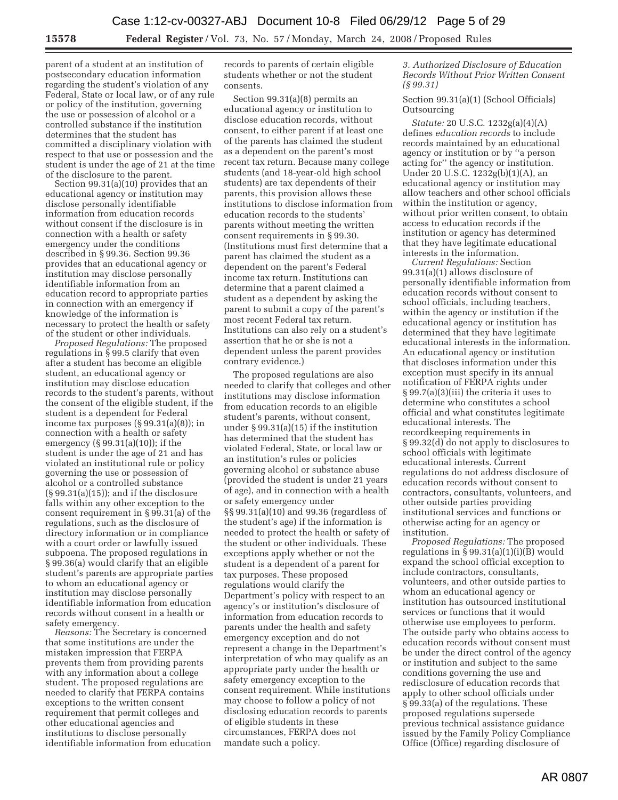parent of a student at an institution of postsecondary education information regarding the student's violation of any Federal, State or local law, or of any rule or policy of the institution, governing the use or possession of alcohol or a controlled substance if the institution determines that the student has committed a disciplinary violation with respect to that use or possession and the student is under the age of 21 at the time of the disclosure to the parent.

Section 99.31(a)(10) provides that an educational agency or institution may disclose personally identifiable information from education records without consent if the disclosure is in connection with a health or safety emergency under the conditions described in § 99.36. Section 99.36 provides that an educational agency or institution may disclose personally identifiable information from an education record to appropriate parties in connection with an emergency if knowledge of the information is necessary to protect the health or safety of the student or other individuals.

*Proposed Regulations:* The proposed regulations in § 99.5 clarify that even after a student has become an eligible student, an educational agency or institution may disclose education records to the student's parents, without the consent of the eligible student, if the student is a dependent for Federal income tax purposes  $(\S 99.31(a)(8))$ ; in connection with a health or safety emergency (§ 99.31(a)(10)); if the student is under the age of 21 and has violated an institutional rule or policy governing the use or possession of alcohol or a controlled substance (§ 99.31(a)(15)); and if the disclosure falls within any other exception to the consent requirement in § 99.31(a) of the regulations, such as the disclosure of directory information or in compliance with a court order or lawfully issued subpoena. The proposed regulations in § 99.36(a) would clarify that an eligible student's parents are appropriate parties to whom an educational agency or institution may disclose personally identifiable information from education records without consent in a health or safety emergency.

*Reasons:* The Secretary is concerned that some institutions are under the mistaken impression that FERPA prevents them from providing parents with any information about a college student. The proposed regulations are needed to clarify that FERPA contains exceptions to the written consent requirement that permit colleges and other educational agencies and institutions to disclose personally identifiable information from education records to parents of certain eligible students whether or not the student consents.

Section 99.31(a)(8) permits an educational agency or institution to disclose education records, without consent, to either parent if at least one of the parents has claimed the student as a dependent on the parent's most recent tax return. Because many college students (and 18-year-old high school students) are tax dependents of their parents, this provision allows these institutions to disclose information from education records to the students' parents without meeting the written consent requirements in § 99.30. (Institutions must first determine that a parent has claimed the student as a dependent on the parent's Federal income tax return. Institutions can determine that a parent claimed a student as a dependent by asking the parent to submit a copy of the parent's most recent Federal tax return. Institutions can also rely on a student's assertion that he or she is not a dependent unless the parent provides contrary evidence.)

The proposed regulations are also needed to clarify that colleges and other institutions may disclose information from education records to an eligible student's parents, without consent, under § 99.31(a)(15) if the institution has determined that the student has violated Federal, State, or local law or an institution's rules or policies governing alcohol or substance abuse (provided the student is under 21 years of age), and in connection with a health or safety emergency under §§ 99.31(a)(10) and 99.36 (regardless of the student's age) if the information is needed to protect the health or safety of the student or other individuals. These exceptions apply whether or not the student is a dependent of a parent for tax purposes. These proposed regulations would clarify the Department's policy with respect to an agency's or institution's disclosure of information from education records to parents under the health and safety emergency exception and do not represent a change in the Department's interpretation of who may qualify as an appropriate party under the health or safety emergency exception to the consent requirement. While institutions may choose to follow a policy of not disclosing education records to parents of eligible students in these circumstances, FERPA does not mandate such a policy.

*3. Authorized Disclosure of Education Records Without Prior Written Consent (§ 99.31)* 

Section 99.31(a)(1) (School Officials) **Outsourcing** 

*Statute:* 20 U.S.C. 1232g(a)(4)(A) defines *education records* to include records maintained by an educational agency or institution or by ''a person acting for'' the agency or institution. Under 20 U.S.C. 1232g(b)(1)(A), an educational agency or institution may allow teachers and other school officials within the institution or agency, without prior written consent, to obtain access to education records if the institution or agency has determined that they have legitimate educational interests in the information.

*Current Regulations:* Section 99.31(a)(1) allows disclosure of personally identifiable information from education records without consent to school officials, including teachers, within the agency or institution if the educational agency or institution has determined that they have legitimate educational interests in the information. An educational agency or institution that discloses information under this exception must specify in its annual notification of FERPA rights under § 99.7(a)(3)(iii) the criteria it uses to determine who constitutes a school official and what constitutes legitimate educational interests. The recordkeeping requirements in § 99.32(d) do not apply to disclosures to school officials with legitimate educational interests. Current regulations do not address disclosure of education records without consent to contractors, consultants, volunteers, and other outside parties providing institutional services and functions or otherwise acting for an agency or institution.

*Proposed Regulations:* The proposed regulations in  $\S 99.31(a)(1)(i)(B)$  would expand the school official exception to include contractors, consultants, volunteers, and other outside parties to whom an educational agency or institution has outsourced institutional services or functions that it would otherwise use employees to perform. The outside party who obtains access to education records without consent must be under the direct control of the agency or institution and subject to the same conditions governing the use and redisclosure of education records that apply to other school officials under § 99.33(a) of the regulations. These proposed regulations supersede previous technical assistance guidance issued by the Family Policy Compliance Office (Office) regarding disclosure of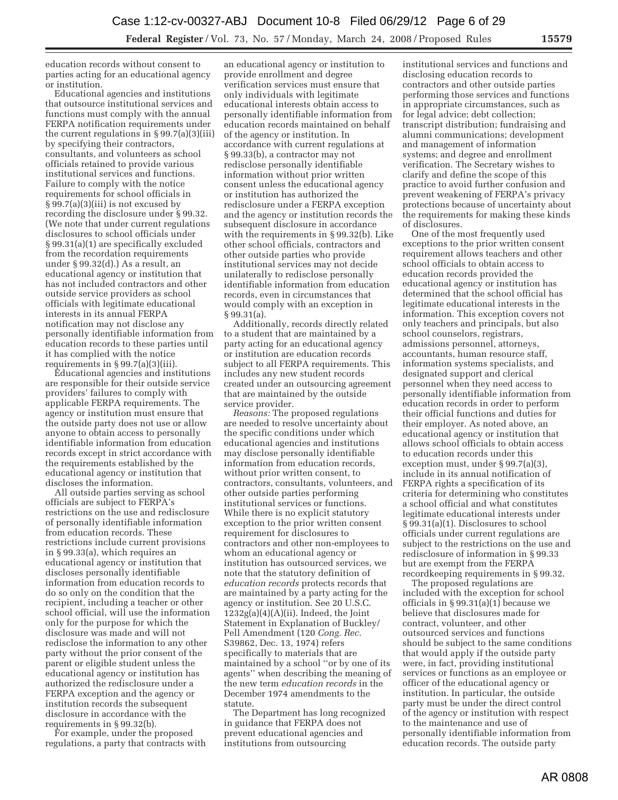education records without consent to parties acting for an educational agency or institution.

Educational agencies and institutions that outsource institutional services and functions must comply with the annual FERPA notification requirements under the current regulations in  $\S 99.7(a)(3)(iii)$ by specifying their contractors, consultants, and volunteers as school officials retained to provide various institutional services and functions. Failure to comply with the notice requirements for school officials in § 99.7(a)(3)(iii) is not excused by recording the disclosure under § 99.32. (We note that under current regulations disclosures to school officials under § 99.31(a)(1) are specifically excluded from the recordation requirements under § 99.32(d).) As a result, an educational agency or institution that has not included contractors and other outside service providers as school officials with legitimate educational interests in its annual FERPA notification may not disclose any personally identifiable information from education records to these parties until it has complied with the notice requirements in  $\S 99.7(a)(3)(iii)$ .

Educational agencies and institutions are responsible for their outside service providers' failures to comply with applicable FERPA requirements. The agency or institution must ensure that the outside party does not use or allow anyone to obtain access to personally identifiable information from education records except in strict accordance with the requirements established by the educational agency or institution that discloses the information.

All outside parties serving as school officials are subject to FERPA's restrictions on the use and redisclosure of personally identifiable information from education records. These restrictions include current provisions in § 99.33(a), which requires an educational agency or institution that discloses personally identifiable information from education records to do so only on the condition that the recipient, including a teacher or other school official, will use the information only for the purpose for which the disclosure was made and will not redisclose the information to any other party without the prior consent of the parent or eligible student unless the educational agency or institution has authorized the redisclosure under a FERPA exception and the agency or institution records the subsequent disclosure in accordance with the requirements in § 99.32(b).

For example, under the proposed regulations, a party that contracts with

an educational agency or institution to provide enrollment and degree verification services must ensure that only individuals with legitimate educational interests obtain access to personally identifiable information from education records maintained on behalf of the agency or institution. In accordance with current regulations at § 99.33(b), a contractor may not redisclose personally identifiable information without prior written consent unless the educational agency or institution has authorized the redisclosure under a FERPA exception and the agency or institution records the subsequent disclosure in accordance with the requirements in § 99.32(b). Like other school officials, contractors and other outside parties who provide institutional services may not decide unilaterally to redisclose personally identifiable information from education records, even in circumstances that would comply with an exception in § 99.31(a).

Additionally, records directly related to a student that are maintained by a party acting for an educational agency or institution are education records subject to all FERPA requirements. This includes any new student records created under an outsourcing agreement that are maintained by the outside service provider.

*Reasons:* The proposed regulations are needed to resolve uncertainty about the specific conditions under which educational agencies and institutions may disclose personally identifiable information from education records, without prior written consent, to contractors, consultants, volunteers, and other outside parties performing institutional services or functions. While there is no explicit statutory exception to the prior written consent requirement for disclosures to contractors and other non-employees to whom an educational agency or institution has outsourced services, we note that the statutory definition of *education records* protects records that are maintained by a party acting for the agency or institution. See 20 U.S.C.  $1232g(a)(4)(A)(ii)$ . Indeed, the Joint Statement in Explanation of Buckley/ Pell Amendment (120 *Cong. Rec.*  S39862, Dec. 13, 1974) refers specifically to materials that are maintained by a school ''or by one of its agents'' when describing the meaning of the new term *education records* in the December 1974 amendments to the statute.

The Department has long recognized in guidance that FERPA does not prevent educational agencies and institutions from outsourcing

institutional services and functions and disclosing education records to contractors and other outside parties performing those services and functions in appropriate circumstances, such as for legal advice; debt collection; transcript distribution; fundraising and alumni communications; development and management of information systems; and degree and enrollment verification. The Secretary wishes to clarify and define the scope of this practice to avoid further confusion and prevent weakening of FERPA's privacy protections because of uncertainty about the requirements for making these kinds of disclosures.

One of the most frequently used exceptions to the prior written consent requirement allows teachers and other school officials to obtain access to education records provided the educational agency or institution has determined that the school official has legitimate educational interests in the information. This exception covers not only teachers and principals, but also school counselors, registrars, admissions personnel, attorneys, accountants, human resource staff, information systems specialists, and designated support and clerical personnel when they need access to personally identifiable information from education records in order to perform their official functions and duties for their employer. As noted above, an educational agency or institution that allows school officials to obtain access to education records under this exception must, under § 99.7(a)(3), include in its annual notification of FERPA rights a specification of its criteria for determining who constitutes a school official and what constitutes legitimate educational interests under § 99.31(a)(1). Disclosures to school officials under current regulations are subject to the restrictions on the use and redisclosure of information in § 99.33 but are exempt from the FERPA recordkeeping requirements in § 99.32.

The proposed regulations are included with the exception for school officials in § 99.31(a)(1) because we believe that disclosures made for contract, volunteer, and other outsourced services and functions should be subject to the same conditions that would apply if the outside party were, in fact, providing institutional services or functions as an employee or officer of the educational agency or institution. In particular, the outside party must be under the direct control of the agency or institution with respect to the maintenance and use of personally identifiable information from education records. The outside party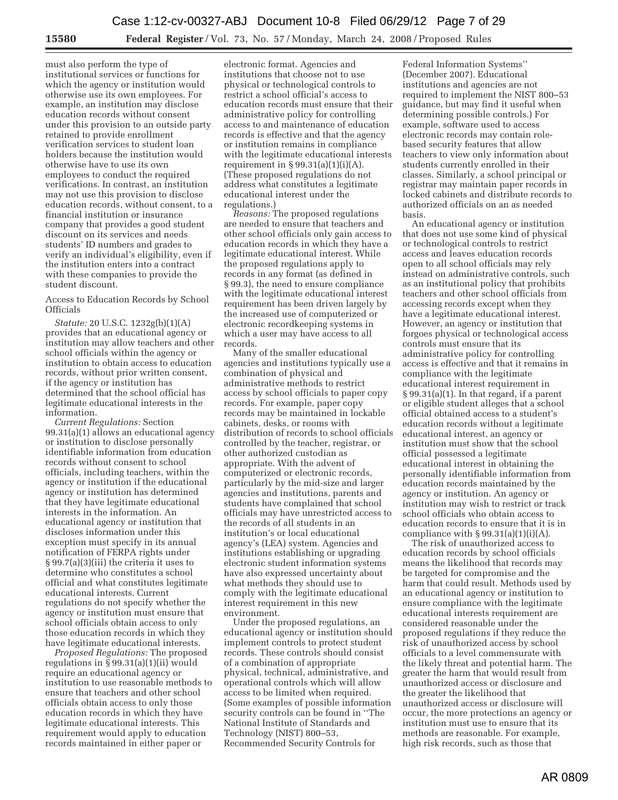must also perform the type of institutional services or functions for which the agency or institution would otherwise use its own employees. For example, an institution may disclose education records without consent under this provision to an outside party retained to provide enrollment verification services to student loan holders because the institution would otherwise have to use its own employees to conduct the required verifications. In contrast, an institution may not use this provision to disclose education records, without consent, to a financial institution or insurance company that provides a good student discount on its services and needs students' ID numbers and grades to verify an individual's eligibility, even if the institution enters into a contract with these companies to provide the student discount.

Access to Education Records by School Officials

*Statute:* 20 U.S.C. 1232g(b)(1)(A) provides that an educational agency or institution may allow teachers and other school officials within the agency or institution to obtain access to education records, without prior written consent, if the agency or institution has determined that the school official has legitimate educational interests in the information.

*Current Regulations:* Section 99.31(a)(1) allows an educational agency or institution to disclose personally identifiable information from education records without consent to school officials, including teachers, within the agency or institution if the educational agency or institution has determined that they have legitimate educational interests in the information. An educational agency or institution that discloses information under this exception must specify in its annual notification of FERPA rights under § 99.7(a)(3)(iii) the criteria it uses to determine who constitutes a school official and what constitutes legitimate educational interests. Current regulations do not specify whether the agency or institution must ensure that school officials obtain access to only those education records in which they have legitimate educational interests.

*Proposed Regulations:* The proposed regulations in § 99.31(a)(1)(ii) would require an educational agency or institution to use reasonable methods to ensure that teachers and other school officials obtain access to only those education records in which they have legitimate educational interests. This requirement would apply to education records maintained in either paper or

electronic format. Agencies and institutions that choose not to use physical or technological controls to restrict a school official's access to education records must ensure that their administrative policy for controlling access to and maintenance of education records is effective and that the agency or institution remains in compliance with the legitimate educational interests requirement in  $\S 99.31(a)(1)(i)(A)$ . (These proposed regulations do not address what constitutes a legitimate educational interest under the regulations.)

*Reasons:* The proposed regulations are needed to ensure that teachers and other school officials only gain access to education records in which they have a legitimate educational interest. While the proposed regulations apply to records in any format (as defined in § 99.3), the need to ensure compliance with the legitimate educational interest requirement has been driven largely by the increased use of computerized or electronic recordkeeping systems in which a user may have access to all records.

Many of the smaller educational agencies and institutions typically use a combination of physical and administrative methods to restrict access by school officials to paper copy records. For example, paper copy records may be maintained in lockable cabinets, desks, or rooms with distribution of records to school officials controlled by the teacher, registrar, or other authorized custodian as appropriate. With the advent of computerized or electronic records, particularly by the mid-size and larger agencies and institutions, parents and students have complained that school officials may have unrestricted access to the records of all students in an institution's or local educational agency's (LEA) system. Agencies and institutions establishing or upgrading electronic student information systems have also expressed uncertainty about what methods they should use to comply with the legitimate educational interest requirement in this new environment.

Under the proposed regulations, an educational agency or institution should implement controls to protect student records. These controls should consist of a combination of appropriate physical, technical, administrative, and operational controls which will allow access to be limited when required. (Some examples of possible information security controls can be found in ''The National Institute of Standards and Technology (NIST) 800–53, Recommended Security Controls for

Federal Information Systems'' (December 2007). Educational institutions and agencies are not required to implement the NIST 800–53 guidance, but may find it useful when determining possible controls.) For example, software used to access electronic records may contain rolebased security features that allow teachers to view only information about students currently enrolled in their classes. Similarly, a school principal or registrar may maintain paper records in locked cabinets and distribute records to authorized officials on an as needed basis.

An educational agency or institution that does not use some kind of physical or technological controls to restrict access and leaves education records open to all school officials may rely instead on administrative controls, such as an institutional policy that prohibits teachers and other school officials from accessing records except when they have a legitimate educational interest. However, an agency or institution that forgoes physical or technological access controls must ensure that its administrative policy for controlling access is effective and that it remains in compliance with the legitimate educational interest requirement in § 99.31(a)(1). In that regard, if a parent or eligible student alleges that a school official obtained access to a student's education records without a legitimate educational interest, an agency or institution must show that the school official possessed a legitimate educational interest in obtaining the personally identifiable information from education records maintained by the agency or institution. An agency or institution may wish to restrict or track school officials who obtain access to education records to ensure that it is in compliance with  $\S 99.31(a)(1)(i)(A)$ .

The risk of unauthorized access to education records by school officials means the likelihood that records may be targeted for compromise and the harm that could result. Methods used by an educational agency or institution to ensure compliance with the legitimate educational interests requirement are considered reasonable under the proposed regulations if they reduce the risk of unauthorized access by school officials to a level commensurate with the likely threat and potential harm. The greater the harm that would result from unauthorized access or disclosure and the greater the likelihood that unauthorized access or disclosure will occur, the more protections an agency or institution must use to ensure that its methods are reasonable. For example, high risk records, such as those that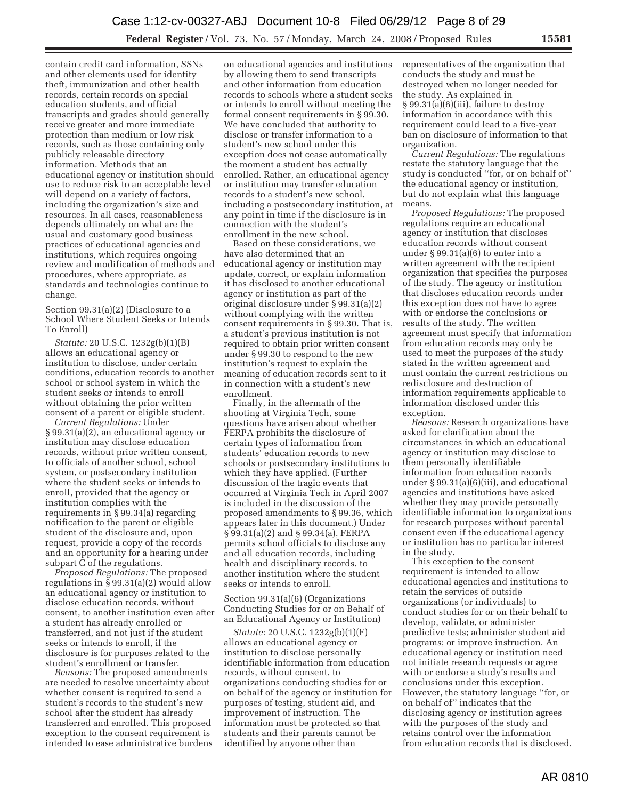contain credit card information, SSNs and other elements used for identity theft, immunization and other health records, certain records on special education students, and official transcripts and grades should generally receive greater and more immediate protection than medium or low risk records, such as those containing only publicly releasable directory information. Methods that an educational agency or institution should use to reduce risk to an acceptable level will depend on a variety of factors, including the organization's size and resources. In all cases, reasonableness depends ultimately on what are the usual and customary good business practices of educational agencies and institutions, which requires ongoing review and modification of methods and procedures, where appropriate, as standards and technologies continue to change.

Section 99.31(a)(2) (Disclosure to a School Where Student Seeks or Intends To Enroll)

*Statute:* 20 U.S.C. 1232g(b)(1)(B) allows an educational agency or institution to disclose, under certain conditions, education records to another school or school system in which the student seeks or intends to enroll without obtaining the prior written consent of a parent or eligible student.

*Current Regulations:* Under § 99.31(a)(2), an educational agency or institution may disclose education records, without prior written consent, to officials of another school, school system, or postsecondary institution where the student seeks or intends to enroll, provided that the agency or institution complies with the requirements in § 99.34(a) regarding notification to the parent or eligible student of the disclosure and, upon request, provide a copy of the records and an opportunity for a hearing under subpart C of the regulations.

*Proposed Regulations:* The proposed regulations in § 99.31(a)(2) would allow an educational agency or institution to disclose education records, without consent, to another institution even after a student has already enrolled or transferred, and not just if the student seeks or intends to enroll, if the disclosure is for purposes related to the student's enrollment or transfer.

*Reasons:* The proposed amendments are needed to resolve uncertainty about whether consent is required to send a student's records to the student's new school after the student has already transferred and enrolled. This proposed exception to the consent requirement is intended to ease administrative burdens

on educational agencies and institutions by allowing them to send transcripts and other information from education records to schools where a student seeks or intends to enroll without meeting the formal consent requirements in § 99.30. We have concluded that authority to disclose or transfer information to a student's new school under this exception does not cease automatically the moment a student has actually enrolled. Rather, an educational agency or institution may transfer education records to a student's new school, including a postsecondary institution, at any point in time if the disclosure is in connection with the student's enrollment in the new school.

Based on these considerations, we have also determined that an educational agency or institution may update, correct, or explain information it has disclosed to another educational agency or institution as part of the original disclosure under § 99.31(a)(2) without complying with the written consent requirements in § 99.30. That is, a student's previous institution is not required to obtain prior written consent under § 99.30 to respond to the new institution's request to explain the meaning of education records sent to it in connection with a student's new enrollment.

Finally, in the aftermath of the shooting at Virginia Tech, some questions have arisen about whether FERPA prohibits the disclosure of certain types of information from students' education records to new schools or postsecondary institutions to which they have applied. (Further discussion of the tragic events that occurred at Virginia Tech in April 2007 is included in the discussion of the proposed amendments to § 99.36, which appears later in this document.) Under § 99.31(a)(2) and § 99.34(a), FERPA permits school officials to disclose any and all education records, including health and disciplinary records, to another institution where the student seeks or intends to enroll.

Section 99.31(a)(6) (Organizations Conducting Studies for or on Behalf of an Educational Agency or Institution)

*Statute:* 20 U.S.C. 1232g(b)(1)(F) allows an educational agency or institution to disclose personally identifiable information from education records, without consent, to organizations conducting studies for or on behalf of the agency or institution for purposes of testing, student aid, and improvement of instruction. The information must be protected so that students and their parents cannot be identified by anyone other than

representatives of the organization that conducts the study and must be destroyed when no longer needed for the study. As explained in § 99.31(a)(6)(iii), failure to destroy information in accordance with this requirement could lead to a five-year ban on disclosure of information to that organization.

*Current Regulations:* The regulations restate the statutory language that the study is conducted ''for, or on behalf of'' the educational agency or institution, but do not explain what this language means.

*Proposed Regulations:* The proposed regulations require an educational agency or institution that discloses education records without consent under § 99.31(a)(6) to enter into a written agreement with the recipient organization that specifies the purposes of the study. The agency or institution that discloses education records under this exception does not have to agree with or endorse the conclusions or results of the study. The written agreement must specify that information from education records may only be used to meet the purposes of the study stated in the written agreement and must contain the current restrictions on redisclosure and destruction of information requirements applicable to information disclosed under this exception.

*Reasons:* Research organizations have asked for clarification about the circumstances in which an educational agency or institution may disclose to them personally identifiable information from education records under § 99.31(a)(6)(iii), and educational agencies and institutions have asked whether they may provide personally identifiable information to organizations for research purposes without parental consent even if the educational agency or institution has no particular interest in the study.

This exception to the consent requirement is intended to allow educational agencies and institutions to retain the services of outside organizations (or individuals) to conduct studies for or on their behalf to develop, validate, or administer predictive tests; administer student aid programs; or improve instruction. An educational agency or institution need not initiate research requests or agree with or endorse a study's results and conclusions under this exception. However, the statutory language ''for, or on behalf of'' indicates that the disclosing agency or institution agrees with the purposes of the study and retains control over the information from education records that is disclosed.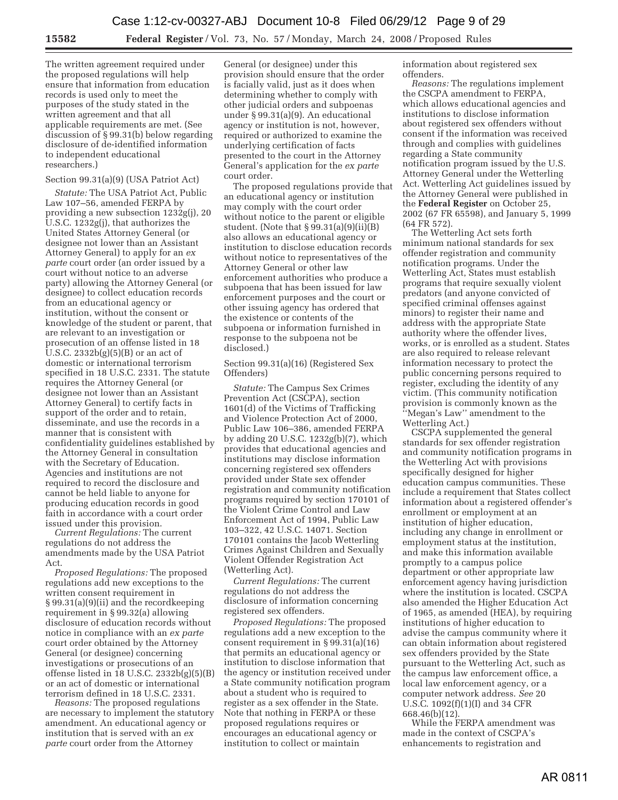The written agreement required under the proposed regulations will help ensure that information from education records is used only to meet the purposes of the study stated in the written agreement and that all applicable requirements are met. (See discussion of § 99.31(b) below regarding disclosure of de-identified information to independent educational researchers.)

## Section 99.31(a)(9) (USA Patriot Act)

*Statute:* The USA Patriot Act, Public Law 107–56, amended FERPA by providing a new subsection 1232g(j), 20 U.S.C. 1232g(j), that authorizes the United States Attorney General (or designee not lower than an Assistant Attorney General) to apply for an *ex parte* court order (an order issued by a court without notice to an adverse party) allowing the Attorney General (or designee) to collect education records from an educational agency or institution, without the consent or knowledge of the student or parent, that are relevant to an investigation or prosecution of an offense listed in 18 U.S.C. 2332b(g)(5)(B) or an act of domestic or international terrorism specified in 18 U.S.C. 2331. The statute requires the Attorney General (or designee not lower than an Assistant Attorney General) to certify facts in support of the order and to retain, disseminate, and use the records in a manner that is consistent with confidentiality guidelines established by the Attorney General in consultation with the Secretary of Education. Agencies and institutions are not required to record the disclosure and cannot be held liable to anyone for producing education records in good faith in accordance with a court order issued under this provision.

*Current Regulations:* The current regulations do not address the amendments made by the USA Patriot Act.

*Proposed Regulations:* The proposed regulations add new exceptions to the written consent requirement in § 99.31(a)(9)(ii) and the recordkeeping requirement in § 99.32(a) allowing disclosure of education records without notice in compliance with an *ex parte*  court order obtained by the Attorney General (or designee) concerning investigations or prosecutions of an offense listed in 18 U.S.C. 2332b(g)(5)(B) or an act of domestic or international terrorism defined in 18 U.S.C. 2331.

*Reasons:* The proposed regulations are necessary to implement the statutory amendment. An educational agency or institution that is served with an *ex parte* court order from the Attorney

General (or designee) under this provision should ensure that the order is facially valid, just as it does when determining whether to comply with other judicial orders and subpoenas under § 99.31(a)(9). An educational agency or institution is not, however, required or authorized to examine the underlying certification of facts presented to the court in the Attorney General's application for the *ex parte*  court order.

The proposed regulations provide that an educational agency or institution may comply with the court order without notice to the parent or eligible student. (Note that  $\S 99.31(a)(9)(ii)(B)$ also allows an educational agency or institution to disclose education records without notice to representatives of the Attorney General or other law enforcement authorities who produce a subpoena that has been issued for law enforcement purposes and the court or other issuing agency has ordered that the existence or contents of the subpoena or information furnished in response to the subpoena not be disclosed.)

Section 99.31(a)(16) (Registered Sex Offenders)

*Statute:* The Campus Sex Crimes Prevention Act (CSCPA), section 1601(d) of the Victims of Trafficking and Violence Protection Act of 2000, Public Law 106–386, amended FERPA by adding 20 U.S.C. 1232g(b)(7), which provides that educational agencies and institutions may disclose information concerning registered sex offenders provided under State sex offender registration and community notification programs required by section 170101 of the Violent Crime Control and Law Enforcement Act of 1994, Public Law 103–322, 42 U.S.C. 14071. Section 170101 contains the Jacob Wetterling Crimes Against Children and Sexually Violent Offender Registration Act (Wetterling Act).

*Current Regulations:* The current regulations do not address the disclosure of information concerning registered sex offenders.

*Proposed Regulations:* The proposed regulations add a new exception to the consent requirement in § 99.31(a)(16) that permits an educational agency or institution to disclose information that the agency or institution received under a State community notification program about a student who is required to register as a sex offender in the State. Note that nothing in FERPA or these proposed regulations requires or encourages an educational agency or institution to collect or maintain

information about registered sex offenders.

*Reasons:* The regulations implement the CSCPA amendment to FERPA, which allows educational agencies and institutions to disclose information about registered sex offenders without consent if the information was received through and complies with guidelines regarding a State community notification program issued by the U.S. Attorney General under the Wetterling Act. Wetterling Act guidelines issued by the Attorney General were published in the **Federal Register** on October 25, 2002 (67 FR 65598), and January 5, 1999 (64 FR 572).

The Wetterling Act sets forth minimum national standards for sex offender registration and community notification programs. Under the Wetterling Act, States must establish programs that require sexually violent predators (and anyone convicted of specified criminal offenses against minors) to register their name and address with the appropriate State authority where the offender lives, works, or is enrolled as a student. States are also required to release relevant information necessary to protect the public concerning persons required to register, excluding the identity of any victim. (This community notification provision is commonly known as the ''Megan's Law'' amendment to the Wetterling Act.)

CSCPA supplemented the general standards for sex offender registration and community notification programs in the Wetterling Act with provisions specifically designed for higher education campus communities. These include a requirement that States collect information about a registered offender's enrollment or employment at an institution of higher education, including any change in enrollment or employment status at the institution, and make this information available promptly to a campus police department or other appropriate law enforcement agency having jurisdiction where the institution is located. CSCPA also amended the Higher Education Act of 1965, as amended (HEA), by requiring institutions of higher education to advise the campus community where it can obtain information about registered sex offenders provided by the State pursuant to the Wetterling Act, such as the campus law enforcement office, a local law enforcement agency, or a computer network address. *See* 20 U.S.C. 1092(f)(1)(I) and 34 CFR 668.46(b)(12).

While the FERPA amendment was made in the context of CSCPA's enhancements to registration and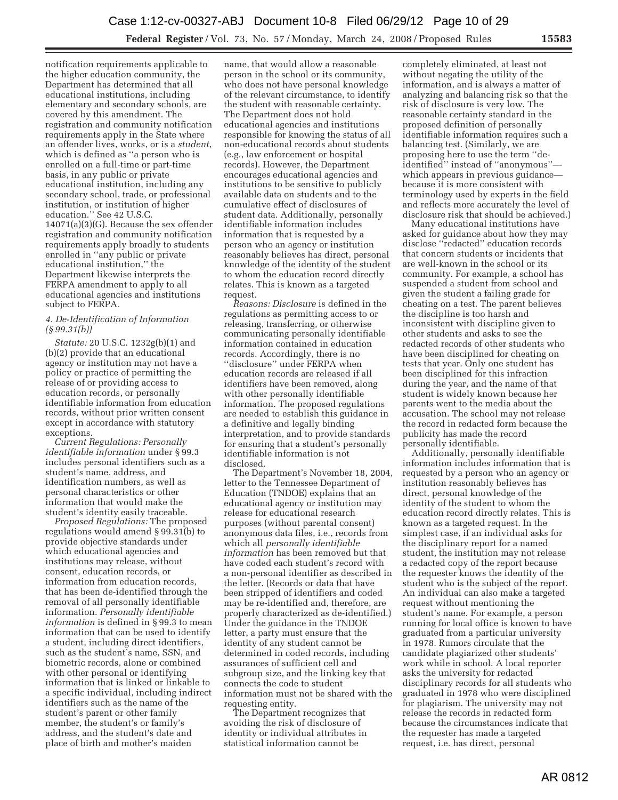notification requirements applicable to the higher education community, the Department has determined that all educational institutions, including elementary and secondary schools, are covered by this amendment. The registration and community notification requirements apply in the State where an offender lives, works, or is a *student*, which is defined as ''a person who is enrolled on a full-time or part-time basis, in any public or private educational institution, including any secondary school, trade, or professional institution, or institution of higher education.'' See 42 U.S.C. 14071(a)(3)(G). Because the sex offender registration and community notification requirements apply broadly to students enrolled in ''any public or private educational institution,'' the Department likewise interprets the FERPA amendment to apply to all educational agencies and institutions subject to FERPA.

## *4. De-Identification of Information (§ 99.31(b))*

*Statute:* 20 U.S.C. 1232g(b)(1) and (b)(2) provide that an educational agency or institution may not have a policy or practice of permitting the release of or providing access to education records, or personally identifiable information from education records, without prior written consent except in accordance with statutory exceptions.

*Current Regulations: Personally identifiable information* under § 99.3 includes personal identifiers such as a student's name, address, and identification numbers, as well as personal characteristics or other information that would make the student's identity easily traceable.

*Proposed Regulations:* The proposed regulations would amend § 99.31(b) to provide objective standards under which educational agencies and institutions may release, without consent, education records, or information from education records, that has been de-identified through the removal of all personally identifiable information. *Personally identifiable information* is defined in § 99.3 to mean information that can be used to identify a student, including direct identifiers, such as the student's name, SSN, and biometric records, alone or combined with other personal or identifying information that is linked or linkable to a specific individual, including indirect identifiers such as the name of the student's parent or other family member, the student's or family's address, and the student's date and place of birth and mother's maiden

name, that would allow a reasonable person in the school or its community, who does not have personal knowledge of the relevant circumstance, to identify the student with reasonable certainty. The Department does not hold educational agencies and institutions responsible for knowing the status of all non-educational records about students (e.g., law enforcement or hospital records). However, the Department encourages educational agencies and institutions to be sensitive to publicly available data on students and to the cumulative effect of disclosures of student data. Additionally, personally identifiable information includes information that is requested by a person who an agency or institution reasonably believes has direct, personal knowledge of the identity of the student to whom the education record directly relates. This is known as a targeted request.

*Reasons: Disclosure* is defined in the regulations as permitting access to or releasing, transferring, or otherwise communicating personally identifiable information contained in education records. Accordingly, there is no ''disclosure'' under FERPA when education records are released if all identifiers have been removed, along with other personally identifiable information. The proposed regulations are needed to establish this guidance in a definitive and legally binding interpretation, and to provide standards for ensuring that a student's personally identifiable information is not disclosed.

The Department's November 18, 2004, letter to the Tennessee Department of Education (TNDOE) explains that an educational agency or institution may release for educational research purposes (without parental consent) anonymous data files, i.e., records from which all *personally identifiable information* has been removed but that have coded each student's record with a non-personal identifier as described in the letter. (Records or data that have been stripped of identifiers and coded may be re-identified and, therefore, are properly characterized as de-identified.) Under the guidance in the TNDOE letter, a party must ensure that the identity of any student cannot be determined in coded records, including assurances of sufficient cell and subgroup size, and the linking key that connects the code to student information must not be shared with the requesting entity.

The Department recognizes that avoiding the risk of disclosure of identity or individual attributes in statistical information cannot be

completely eliminated, at least not without negating the utility of the information, and is always a matter of analyzing and balancing risk so that the risk of disclosure is very low. The reasonable certainty standard in the proposed definition of personally identifiable information requires such a balancing test. (Similarly, we are proposing here to use the term ''deidentified'' instead of ''anonymous'' which appears in previous guidance because it is more consistent with terminology used by experts in the field and reflects more accurately the level of disclosure risk that should be achieved.)

Many educational institutions have asked for guidance about how they may disclose ''redacted'' education records that concern students or incidents that are well-known in the school or its community. For example, a school has suspended a student from school and given the student a failing grade for cheating on a test. The parent believes the discipline is too harsh and inconsistent with discipline given to other students and asks to see the redacted records of other students who have been disciplined for cheating on tests that year. Only one student has been disciplined for this infraction during the year, and the name of that student is widely known because her parents went to the media about the accusation. The school may not release the record in redacted form because the publicity has made the record personally identifiable.

Additionally, personally identifiable information includes information that is requested by a person who an agency or institution reasonably believes has direct, personal knowledge of the identity of the student to whom the education record directly relates. This is known as a targeted request. In the simplest case, if an individual asks for the disciplinary report for a named student, the institution may not release a redacted copy of the report because the requester knows the identity of the student who is the subject of the report. An individual can also make a targeted request without mentioning the student's name. For example, a person running for local office is known to have graduated from a particular university in 1978. Rumors circulate that the candidate plagiarized other students' work while in school. A local reporter asks the university for redacted disciplinary records for all students who graduated in 1978 who were disciplined for plagiarism. The university may not release the records in redacted form because the circumstances indicate that the requester has made a targeted request, i.e. has direct, personal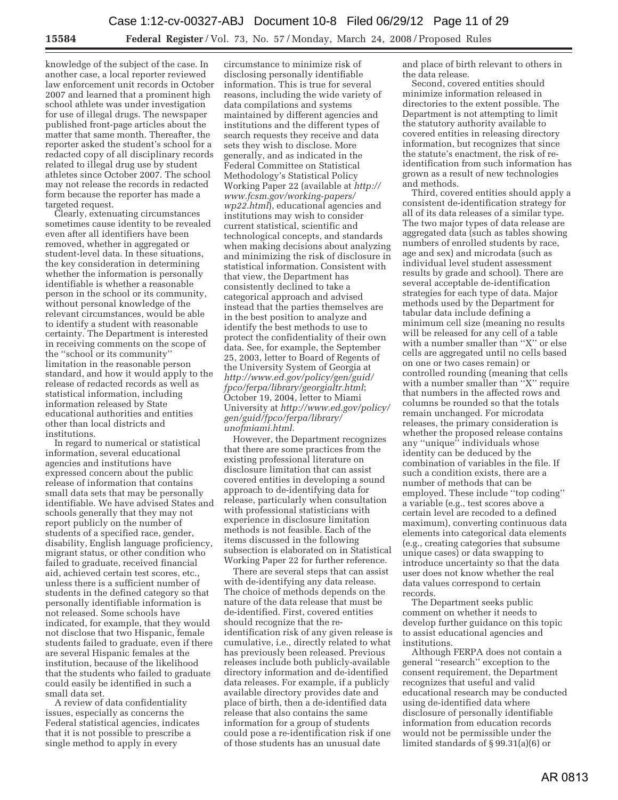knowledge of the subject of the case. In another case, a local reporter reviewed law enforcement unit records in October 2007 and learned that a prominent high school athlete was under investigation for use of illegal drugs. The newspaper published front-page articles about the matter that same month. Thereafter, the reporter asked the student's school for a redacted copy of all disciplinary records related to illegal drug use by student athletes since October 2007. The school may not release the records in redacted form because the reporter has made a targeted request.

Clearly, extenuating circumstances sometimes cause identity to be revealed even after all identifiers have been removed, whether in aggregated or student-level data. In these situations, the key consideration in determining whether the information is personally identifiable is whether a reasonable person in the school or its community, without personal knowledge of the relevant circumstances, would be able to identify a student with reasonable certainty. The Department is interested in receiving comments on the scope of the ''school or its community'' limitation in the reasonable person standard, and how it would apply to the release of redacted records as well as statistical information, including information released by State educational authorities and entities other than local districts and institutions.

In regard to numerical or statistical information, several educational agencies and institutions have expressed concern about the public release of information that contains small data sets that may be personally identifiable. We have advised States and schools generally that they may not report publicly on the number of students of a specified race, gender, disability, English language proficiency, migrant status, or other condition who failed to graduate, received financial aid, achieved certain test scores, etc., unless there is a sufficient number of students in the defined category so that personally identifiable information is not released. Some schools have indicated, for example, that they would not disclose that two Hispanic, female students failed to graduate, even if there are several Hispanic females at the institution, because of the likelihood that the students who failed to graduate could easily be identified in such a small data set.

A review of data confidentiality issues, especially as concerns the Federal statistical agencies, indicates that it is not possible to prescribe a single method to apply in every

circumstance to minimize risk of disclosing personally identifiable information. This is true for several reasons, including the wide variety of data compilations and systems maintained by different agencies and institutions and the different types of search requests they receive and data sets they wish to disclose. More generally, and as indicated in the Federal Committee on Statistical Methodology's Statistical Policy Working Paper 22 (available at *http:// www.fcsm.gov/working-papers/ wp22.html*), educational agencies and institutions may wish to consider current statistical, scientific and technological concepts, and standards when making decisions about analyzing and minimizing the risk of disclosure in statistical information. Consistent with that view, the Department has consistently declined to take a categorical approach and advised instead that the parties themselves are in the best position to analyze and identify the best methods to use to protect the confidentiality of their own data. See, for example, the September 25, 2003, letter to Board of Regents of the University System of Georgia at *http://www.ed.gov/policy/gen/guid/ fpco/ferpa/library/georgialtr.html*; October 19, 2004, letter to Miami University at *http://www.ed.gov/policy/ gen/guid/fpco/ferpa/library/ unofmiami.html*.

However, the Department recognizes that there are some practices from the existing professional literature on disclosure limitation that can assist covered entities in developing a sound approach to de-identifying data for release, particularly when consultation with professional statisticians with experience in disclosure limitation methods is not feasible. Each of the items discussed in the following subsection is elaborated on in Statistical Working Paper 22 for further reference.

There are several steps that can assist with de-identifying any data release. The choice of methods depends on the nature of the data release that must be de-identified. First, covered entities should recognize that the reidentification risk of any given release is cumulative, i.e., directly related to what has previously been released. Previous releases include both publicly-available directory information and de-identified data releases. For example, if a publicly available directory provides date and place of birth, then a de-identified data release that also contains the same information for a group of students could pose a re-identification risk if one of those students has an unusual date

and place of birth relevant to others in the data release.

Second, covered entities should minimize information released in directories to the extent possible. The Department is not attempting to limit the statutory authority available to covered entities in releasing directory information, but recognizes that since the statute's enactment, the risk of reidentification from such information has grown as a result of new technologies and methods.

Third, covered entities should apply a consistent de-identification strategy for all of its data releases of a similar type. The two major types of data release are aggregated data (such as tables showing numbers of enrolled students by race, age and sex) and microdata (such as individual level student assessment results by grade and school). There are several acceptable de-identification strategies for each type of data. Major methods used by the Department for tabular data include defining a minimum cell size (meaning no results will be released for any cell of a table with a number smaller than "X" or else cells are aggregated until no cells based on one or two cases remain) or controlled rounding (meaning that cells with a number smaller than ''X'' require that numbers in the affected rows and columns be rounded so that the totals remain unchanged. For microdata releases, the primary consideration is whether the proposed release contains any ''unique'' individuals whose identity can be deduced by the combination of variables in the file. If such a condition exists, there are a number of methods that can be employed. These include ''top coding'' a variable (e.g., test scores above a certain level are recoded to a defined maximum), converting continuous data elements into categorical data elements (e.g., creating categories that subsume unique cases) or data swapping to introduce uncertainty so that the data user does not know whether the real data values correspond to certain records.

The Department seeks public comment on whether it needs to develop further guidance on this topic to assist educational agencies and institutions.

Although FERPA does not contain a general ''research'' exception to the consent requirement, the Department recognizes that useful and valid educational research may be conducted using de-identified data where disclosure of personally identifiable information from education records would not be permissible under the limited standards of § 99.31(a)(6) or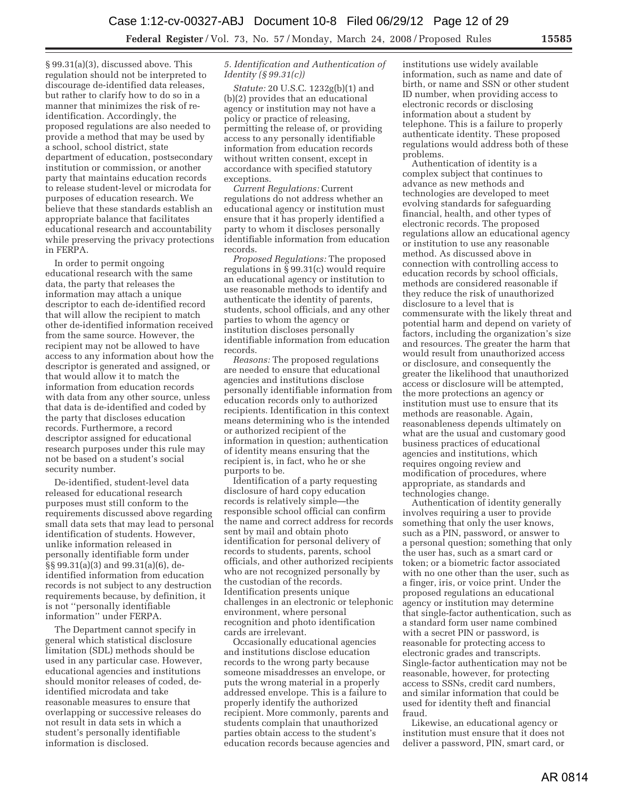§ 99.31(a)(3), discussed above. This regulation should not be interpreted to discourage de-identified data releases, but rather to clarify how to do so in a manner that minimizes the risk of reidentification. Accordingly, the proposed regulations are also needed to provide a method that may be used by a school, school district, state department of education, postsecondary institution or commission, or another party that maintains education records to release student-level or microdata for purposes of education research. We believe that these standards establish an appropriate balance that facilitates educational research and accountability while preserving the privacy protections in FERPA.

In order to permit ongoing educational research with the same data, the party that releases the information may attach a unique descriptor to each de-identified record that will allow the recipient to match other de-identified information received from the same source. However, the recipient may not be allowed to have access to any information about how the descriptor is generated and assigned, or that would allow it to match the information from education records with data from any other source, unless that data is de-identified and coded by the party that discloses education records. Furthermore, a record descriptor assigned for educational research purposes under this rule may not be based on a student's social security number.

De-identified, student-level data released for educational research purposes must still conform to the requirements discussed above regarding small data sets that may lead to personal identification of students. However, unlike information released in personally identifiable form under §§ 99.31(a)(3) and 99.31(a)(6), deidentified information from education records is not subject to any destruction requirements because, by definition, it is not ''personally identifiable information'' under FERPA.

The Department cannot specify in general which statistical disclosure limitation (SDL) methods should be used in any particular case. However, educational agencies and institutions should monitor releases of coded, deidentified microdata and take reasonable measures to ensure that overlapping or successive releases do not result in data sets in which a student's personally identifiable information is disclosed.

#### *5. Identification and Authentication of Identity (§ 99.31(c))*

*Statute:* 20 U.S.C. 1232g(b)(1) and (b)(2) provides that an educational agency or institution may not have a policy or practice of releasing, permitting the release of, or providing access to any personally identifiable information from education records without written consent, except in accordance with specified statutory exceptions.

*Current Regulations:* Current regulations do not address whether an educational agency or institution must ensure that it has properly identified a party to whom it discloses personally identifiable information from education records.

*Proposed Regulations:* The proposed regulations in § 99.31(c) would require an educational agency or institution to use reasonable methods to identify and authenticate the identity of parents, students, school officials, and any other parties to whom the agency or institution discloses personally identifiable information from education records.

*Reasons:* The proposed regulations are needed to ensure that educational agencies and institutions disclose personally identifiable information from education records only to authorized recipients. Identification in this context means determining who is the intended or authorized recipient of the information in question; authentication of identity means ensuring that the recipient is, in fact, who he or she purports to be.

Identification of a party requesting disclosure of hard copy education records is relatively simple—the responsible school official can confirm the name and correct address for records sent by mail and obtain photo identification for personal delivery of records to students, parents, school officials, and other authorized recipients who are not recognized personally by the custodian of the records. Identification presents unique challenges in an electronic or telephonic environment, where personal recognition and photo identification cards are irrelevant.

Occasionally educational agencies and institutions disclose education records to the wrong party because someone misaddresses an envelope, or puts the wrong material in a properly addressed envelope. This is a failure to properly identify the authorized recipient. More commonly, parents and students complain that unauthorized parties obtain access to the student's education records because agencies and

institutions use widely available information, such as name and date of birth, or name and SSN or other student ID number, when providing access to electronic records or disclosing information about a student by telephone. This is a failure to properly authenticate identity. These proposed regulations would address both of these problems.

Authentication of identity is a complex subject that continues to advance as new methods and technologies are developed to meet evolving standards for safeguarding financial, health, and other types of electronic records. The proposed regulations allow an educational agency or institution to use any reasonable method. As discussed above in connection with controlling access to education records by school officials, methods are considered reasonable if they reduce the risk of unauthorized disclosure to a level that is commensurate with the likely threat and potential harm and depend on variety of factors, including the organization's size and resources. The greater the harm that would result from unauthorized access or disclosure, and consequently the greater the likelihood that unauthorized access or disclosure will be attempted, the more protections an agency or institution must use to ensure that its methods are reasonable. Again, reasonableness depends ultimately on what are the usual and customary good business practices of educational agencies and institutions, which requires ongoing review and modification of procedures, where appropriate, as standards and technologies change.

Authentication of identity generally involves requiring a user to provide something that only the user knows, such as a PIN, password, or answer to a personal question; something that only the user has, such as a smart card or token; or a biometric factor associated with no one other than the user, such as a finger, iris, or voice print. Under the proposed regulations an educational agency or institution may determine that single-factor authentication, such as a standard form user name combined with a secret PIN or password, is reasonable for protecting access to electronic grades and transcripts. Single-factor authentication may not be reasonable, however, for protecting access to SSNs, credit card numbers, and similar information that could be used for identity theft and financial fraud.

Likewise, an educational agency or institution must ensure that it does not deliver a password, PIN, smart card, or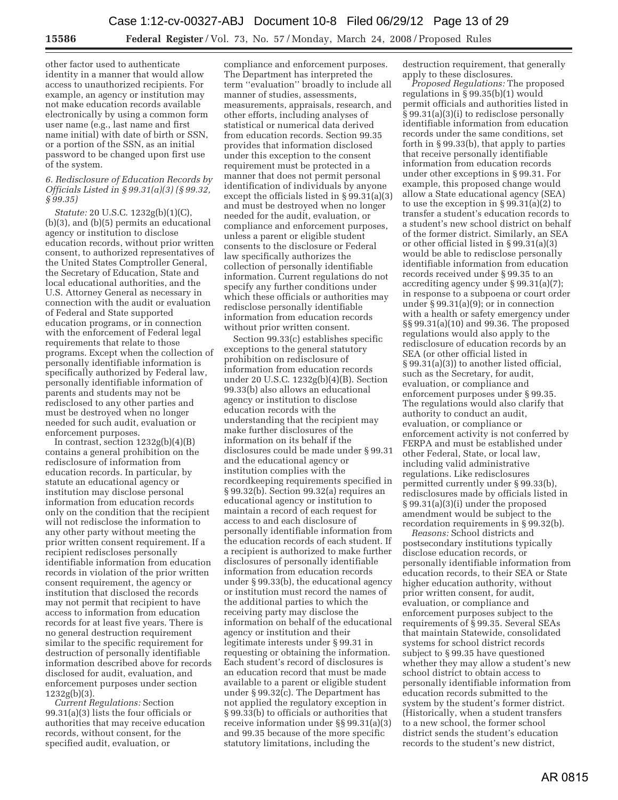other factor used to authenticate identity in a manner that would allow access to unauthorized recipients. For example, an agency or institution may not make education records available electronically by using a common form user name (e.g., last name and first name initial) with date of birth or SSN, or a portion of the SSN, as an initial password to be changed upon first use of the system.

#### *6. Redisclosure of Education Records by Officials Listed in § 99.31(a)(3) (§ 99.32, § 99.35)*

*Statute:* 20 U.S.C. 1232g(b)(1)(C), (b)(3), and (b)(5) permits an educational agency or institution to disclose education records, without prior written consent, to authorized representatives of the United States Comptroller General, the Secretary of Education, State and local educational authorities, and the U.S. Attorney General as necessary in connection with the audit or evaluation of Federal and State supported education programs, or in connection with the enforcement of Federal legal requirements that relate to those programs. Except when the collection of personally identifiable information is specifically authorized by Federal law, personally identifiable information of parents and students may not be redisclosed to any other parties and must be destroyed when no longer needed for such audit, evaluation or enforcement purposes.

In contrast, section  $1232g(b)(4)(B)$ contains a general prohibition on the redisclosure of information from education records. In particular, by statute an educational agency or institution may disclose personal information from education records only on the condition that the recipient will not redisclose the information to any other party without meeting the prior written consent requirement. If a recipient rediscloses personally identifiable information from education records in violation of the prior written consent requirement, the agency or institution that disclosed the records may not permit that recipient to have access to information from education records for at least five years. There is no general destruction requirement similar to the specific requirement for destruction of personally identifiable information described above for records disclosed for audit, evaluation, and enforcement purposes under section 1232g(b)(3).

*Current Regulations:* Section 99.31(a)(3) lists the four officials or authorities that may receive education records, without consent, for the specified audit, evaluation, or

compliance and enforcement purposes. The Department has interpreted the term ''evaluation'' broadly to include all manner of studies, assessments, measurements, appraisals, research, and other efforts, including analyses of statistical or numerical data derived from education records. Section 99.35 provides that information disclosed under this exception to the consent requirement must be protected in a manner that does not permit personal identification of individuals by anyone except the officials listed in § 99.31(a)(3) and must be destroyed when no longer needed for the audit, evaluation, or compliance and enforcement purposes, unless a parent or eligible student consents to the disclosure or Federal law specifically authorizes the collection of personally identifiable information. Current regulations do not specify any further conditions under which these officials or authorities may redisclose personally identifiable information from education records without prior written consent.

Section 99.33(c) establishes specific exceptions to the general statutory prohibition on redisclosure of information from education records under 20 U.S.C. 1232g(b)(4)(B). Section 99.33(b) also allows an educational agency or institution to disclose education records with the understanding that the recipient may make further disclosures of the information on its behalf if the disclosures could be made under § 99.31 and the educational agency or institution complies with the recordkeeping requirements specified in § 99.32(b). Section 99.32(a) requires an educational agency or institution to maintain a record of each request for access to and each disclosure of personally identifiable information from the education records of each student. If a recipient is authorized to make further disclosures of personally identifiable information from education records under § 99.33(b), the educational agency or institution must record the names of the additional parties to which the receiving party may disclose the information on behalf of the educational agency or institution and their legitimate interests under § 99.31 in requesting or obtaining the information. Each student's record of disclosures is an education record that must be made available to a parent or eligible student under § 99.32(c). The Department has not applied the regulatory exception in § 99.33(b) to officials or authorities that receive information under §§ 99.31(a)(3) and 99.35 because of the more specific statutory limitations, including the

destruction requirement, that generally apply to these disclosures.

*Proposed Regulations:* The proposed regulations in  $\S 99.35(b)(1)$  would permit officials and authorities listed in § 99.31(a)(3)(i) to redisclose personally identifiable information from education records under the same conditions, set forth in § 99.33(b), that apply to parties that receive personally identifiable information from education records under other exceptions in § 99.31. For example, this proposed change would allow a State educational agency (SEA) to use the exception in § 99.31(a)(2) to transfer a student's education records to a student's new school district on behalf of the former district. Similarly, an SEA or other official listed in § 99.31(a)(3) would be able to redisclose personally identifiable information from education records received under § 99.35 to an accrediting agency under § 99.31(a)(7); in response to a subpoena or court order under § 99.31(a)(9); or in connection with a health or safety emergency under §§ 99.31(a)(10) and 99.36. The proposed regulations would also apply to the redisclosure of education records by an SEA (or other official listed in § 99.31(a)(3)) to another listed official, such as the Secretary, for audit, evaluation, or compliance and enforcement purposes under § 99.35. The regulations would also clarify that authority to conduct an audit, evaluation, or compliance or enforcement activity is not conferred by FERPA and must be established under other Federal, State, or local law, including valid administrative regulations. Like redisclosures permitted currently under § 99.33(b), redisclosures made by officials listed in § 99.31(a)(3)(i) under the proposed amendment would be subject to the recordation requirements in § 99.32(b).

*Reasons:* School districts and postsecondary institutions typically disclose education records, or personally identifiable information from education records, to their SEA or State higher education authority, without prior written consent, for audit, evaluation, or compliance and enforcement purposes subject to the requirements of § 99.35. Several SEAs that maintain Statewide, consolidated systems for school district records subject to § 99.35 have questioned whether they may allow a student's new school district to obtain access to personally identifiable information from education records submitted to the system by the student's former district. (Historically, when a student transfers to a new school, the former school district sends the student's education records to the student's new district,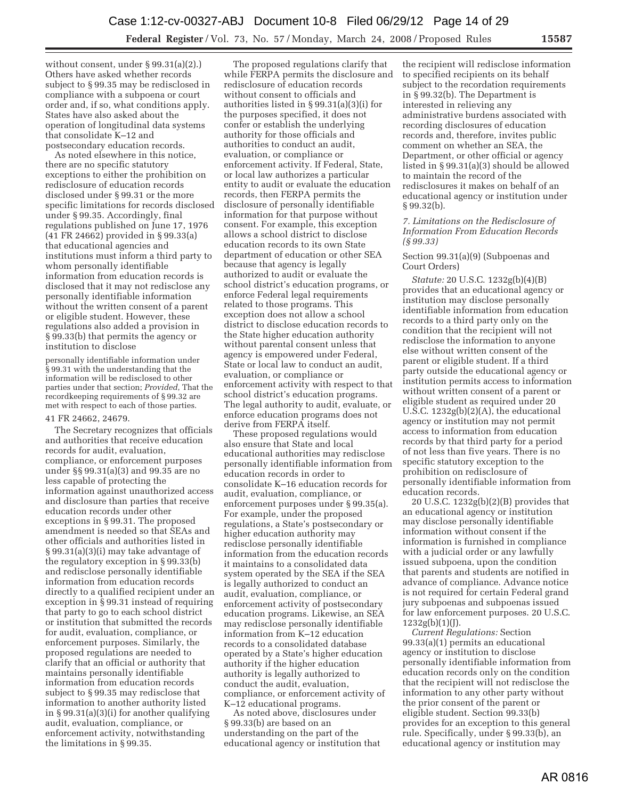without consent, under § 99.31(a)(2).) Others have asked whether records subject to § 99.35 may be redisclosed in compliance with a subpoena or court order and, if so, what conditions apply. States have also asked about the operation of longitudinal data systems that consolidate K–12 and postsecondary education records.

As noted elsewhere in this notice, there are no specific statutory exceptions to either the prohibition on redisclosure of education records disclosed under § 99.31 or the more specific limitations for records disclosed under § 99.35. Accordingly, final regulations published on June 17, 1976 (41 FR 24662) provided in § 99.33(a) that educational agencies and institutions must inform a third party to whom personally identifiable information from education records is disclosed that it may not redisclose any personally identifiable information without the written consent of a parent or eligible student. However, these regulations also added a provision in § 99.33(b) that permits the agency or institution to disclose

personally identifiable information under § 99.31 with the understanding that the information will be redisclosed to other parties under that section; *Provided*, That the recordkeeping requirements of § 99.32 are met with respect to each of those parties.

## 41 FR 24662, 24679.

The Secretary recognizes that officials and authorities that receive education records for audit, evaluation, compliance, or enforcement purposes under §§ 99.31(a)(3) and 99.35 are no less capable of protecting the information against unauthorized access and disclosure than parties that receive education records under other exceptions in § 99.31. The proposed amendment is needed so that SEAs and other officials and authorities listed in § 99.31(a)(3)(i) may take advantage of the regulatory exception in § 99.33(b) and redisclose personally identifiable information from education records directly to a qualified recipient under an exception in § 99.31 instead of requiring that party to go to each school district or institution that submitted the records for audit, evaluation, compliance, or enforcement purposes. Similarly, the proposed regulations are needed to clarify that an official or authority that maintains personally identifiable information from education records subject to § 99.35 may redisclose that information to another authority listed in § 99.31(a)(3)(i) for another qualifying audit, evaluation, compliance, or enforcement activity, notwithstanding the limitations in § 99.35.

The proposed regulations clarify that while FERPA permits the disclosure and redisclosure of education records without consent to officials and authorities listed in § 99.31(a)(3)(i) for the purposes specified, it does not confer or establish the underlying authority for those officials and authorities to conduct an audit, evaluation, or compliance or enforcement activity. If Federal, State, or local law authorizes a particular entity to audit or evaluate the education records, then FERPA permits the disclosure of personally identifiable information for that purpose without consent. For example, this exception allows a school district to disclose education records to its own State department of education or other SEA because that agency is legally authorized to audit or evaluate the school district's education programs, or enforce Federal legal requirements related to those programs. This exception does not allow a school district to disclose education records to the State higher education authority without parental consent unless that agency is empowered under Federal, State or local law to conduct an audit, evaluation, or compliance or enforcement activity with respect to that school district's education programs. The legal authority to audit, evaluate, or enforce education programs does not derive from FERPA itself.

These proposed regulations would also ensure that State and local educational authorities may redisclose personally identifiable information from education records in order to consolidate K–16 education records for audit, evaluation, compliance, or enforcement purposes under § 99.35(a). For example, under the proposed regulations, a State's postsecondary or higher education authority may redisclose personally identifiable information from the education records it maintains to a consolidated data system operated by the SEA if the SEA is legally authorized to conduct an audit, evaluation, compliance, or enforcement activity of postsecondary education programs. Likewise, an SEA may redisclose personally identifiable information from K–12 education records to a consolidated database operated by a State's higher education authority if the higher education authority is legally authorized to conduct the audit, evaluation, compliance, or enforcement activity of K–12 educational programs.

As noted above, disclosures under § 99.33(b) are based on an understanding on the part of the educational agency or institution that

the recipient will redisclose information to specified recipients on its behalf subject to the recordation requirements in § 99.32(b). The Department is interested in relieving any administrative burdens associated with recording disclosures of education records and, therefore, invites public comment on whether an SEA, the Department, or other official or agency listed in § 99.31(a)(3) should be allowed to maintain the record of the redisclosures it makes on behalf of an educational agency or institution under § 99.32(b).

### *7. Limitations on the Redisclosure of Information From Education Records (§ 99.33)*

## Section 99.31(a)(9) (Subpoenas and Court Orders)

*Statute:* 20 U.S.C. 1232g(b)(4)(B) provides that an educational agency or institution may disclose personally identifiable information from education records to a third party only on the condition that the recipient will not redisclose the information to anyone else without written consent of the parent or eligible student. If a third party outside the educational agency or institution permits access to information without written consent of a parent or eligible student as required under 20 U.S.C. 1232g(b)(2)(A), the educational agency or institution may not permit access to information from education records by that third party for a period of not less than five years. There is no specific statutory exception to the prohibition on redisclosure of personally identifiable information from education records.

20 U.S.C. 1232g(b)(2)(B) provides that an educational agency or institution may disclose personally identifiable information without consent if the information is furnished in compliance with a judicial order or any lawfully issued subpoena, upon the condition that parents and students are notified in advance of compliance. Advance notice is not required for certain Federal grand jury subpoenas and subpoenas issued for law enforcement purposes. 20 U.S.C.  $1232g(b)(1)(J).$ 

*Current Regulations:* Section 99.33(a)(1) permits an educational agency or institution to disclose personally identifiable information from education records only on the condition that the recipient will not redisclose the information to any other party without the prior consent of the parent or eligible student. Section 99.33(b) provides for an exception to this general rule. Specifically, under § 99.33(b), an educational agency or institution may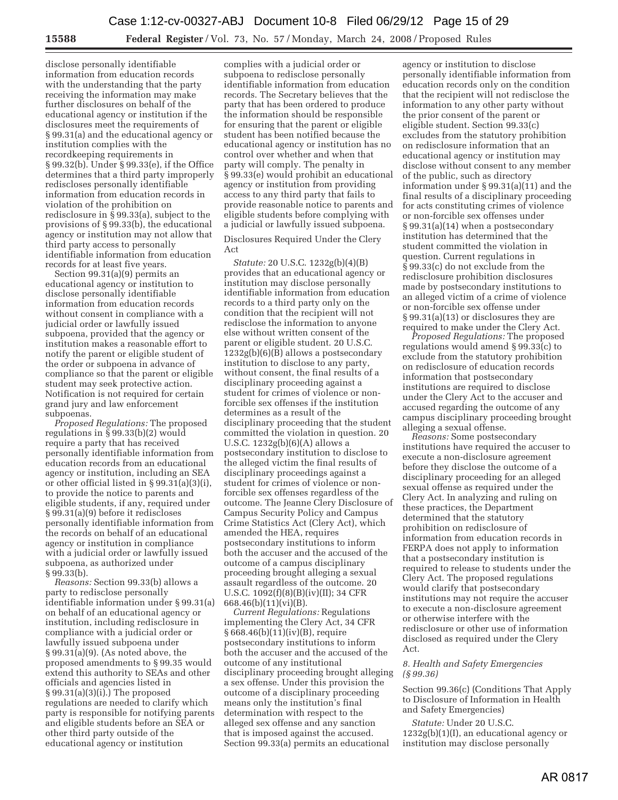disclose personally identifiable information from education records with the understanding that the party receiving the information may make further disclosures on behalf of the educational agency or institution if the disclosures meet the requirements of § 99.31(a) and the educational agency or institution complies with the recordkeeping requirements in § 99.32(b). Under § 99.33(e), if the Office determines that a third party improperly rediscloses personally identifiable information from education records in violation of the prohibition on redisclosure in § 99.33(a), subject to the provisions of § 99.33(b), the educational agency or institution may not allow that third party access to personally identifiable information from education records for at least five years.

Section 99.31(a)(9) permits an educational agency or institution to disclose personally identifiable information from education records without consent in compliance with a judicial order or lawfully issued subpoena, provided that the agency or institution makes a reasonable effort to notify the parent or eligible student of the order or subpoena in advance of compliance so that the parent or eligible student may seek protective action. Notification is not required for certain grand jury and law enforcement subpoenas.

*Proposed Regulations:* The proposed regulations in § 99.33(b)(2) would require a party that has received personally identifiable information from education records from an educational agency or institution, including an SEA or other official listed in § 99.31(a)(3)(i), to provide the notice to parents and eligible students, if any, required under § 99.31(a)(9) before it rediscloses personally identifiable information from the records on behalf of an educational agency or institution in compliance with a judicial order or lawfully issued subpoena, as authorized under § 99.33(b).

*Reasons:* Section 99.33(b) allows a party to redisclose personally identifiable information under § 99.31(a) on behalf of an educational agency or institution, including redisclosure in compliance with a judicial order or lawfully issued subpoena under § 99.31(a)(9). (As noted above, the proposed amendments to § 99.35 would extend this authority to SEAs and other officials and agencies listed in  $§ 99.31(a)(3)(i)$ . The proposed regulations are needed to clarify which party is responsible for notifying parents and eligible students before an SEA or other third party outside of the educational agency or institution

complies with a judicial order or subpoena to redisclose personally identifiable information from education records. The Secretary believes that the party that has been ordered to produce the information should be responsible for ensuring that the parent or eligible student has been notified because the educational agency or institution has no control over whether and when that party will comply. The penalty in § 99.33(e) would prohibit an educational agency or institution from providing access to any third party that fails to provide reasonable notice to parents and eligible students before complying with a judicial or lawfully issued subpoena.

Disclosures Required Under the Clery Act

*Statute:* 20 U.S.C. 1232g(b)(4)(B) provides that an educational agency or institution may disclose personally identifiable information from education records to a third party only on the condition that the recipient will not redisclose the information to anyone else without written consent of the parent or eligible student. 20 U.S.C. 1232g(b)(6)(B) allows a postsecondary institution to disclose to any party, without consent, the final results of a disciplinary proceeding against a student for crimes of violence or nonforcible sex offenses if the institution determines as a result of the disciplinary proceeding that the student committed the violation in question. 20 U.S.C. 1232g(b)(6)(A) allows a postsecondary institution to disclose to the alleged victim the final results of disciplinary proceedings against a student for crimes of violence or nonforcible sex offenses regardless of the outcome. The Jeanne Clery Disclosure of Campus Security Policy and Campus Crime Statistics Act (Clery Act), which amended the HEA, requires postsecondary institutions to inform both the accuser and the accused of the outcome of a campus disciplinary proceeding brought alleging a sexual assault regardless of the outcome. 20 U.S.C. 1092(f)(8)(B)(iv)(II); 34 CFR 668.46(b)(11)(vi)(B).

*Current Regulations:* Regulations implementing the Clery Act, 34 CFR § 668.46(b)(11)(iv)(B), require postsecondary institutions to inform both the accuser and the accused of the outcome of any institutional disciplinary proceeding brought alleging a sex offense. Under this provision the outcome of a disciplinary proceeding means only the institution's final determination with respect to the alleged sex offense and any sanction that is imposed against the accused. Section 99.33(a) permits an educational

agency or institution to disclose personally identifiable information from education records only on the condition that the recipient will not redisclose the information to any other party without the prior consent of the parent or eligible student. Section 99.33(c) excludes from the statutory prohibition on redisclosure information that an educational agency or institution may disclose without consent to any member of the public, such as directory information under § 99.31(a)(11) and the final results of a disciplinary proceeding for acts constituting crimes of violence or non-forcible sex offenses under § 99.31(a)(14) when a postsecondary institution has determined that the student committed the violation in question. Current regulations in § 99.33(c) do not exclude from the redisclosure prohibition disclosures made by postsecondary institutions to an alleged victim of a crime of violence or non-forcible sex offense under § 99.31(a)(13) or disclosures they are required to make under the Clery Act.

*Proposed Regulations:* The proposed regulations would amend § 99.33(c) to exclude from the statutory prohibition on redisclosure of education records information that postsecondary institutions are required to disclose under the Clery Act to the accuser and accused regarding the outcome of any campus disciplinary proceeding brought alleging a sexual offense.

*Reasons:* Some postsecondary institutions have required the accuser to execute a non-disclosure agreement before they disclose the outcome of a disciplinary proceeding for an alleged sexual offense as required under the Clery Act. In analyzing and ruling on these practices, the Department determined that the statutory prohibition on redisclosure of information from education records in FERPA does not apply to information that a postsecondary institution is required to release to students under the Clery Act. The proposed regulations would clarify that postsecondary institutions may not require the accuser to execute a non-disclosure agreement or otherwise interfere with the redisclosure or other use of information disclosed as required under the Clery Act.

#### *8. Health and Safety Emergencies (§ 99.36)*

Section 99.36(c) (Conditions That Apply to Disclosure of Information in Health and Safety Emergencies)

*Statute:* Under 20 U.S.C. 1232g(b)(1)(I), an educational agency or institution may disclose personally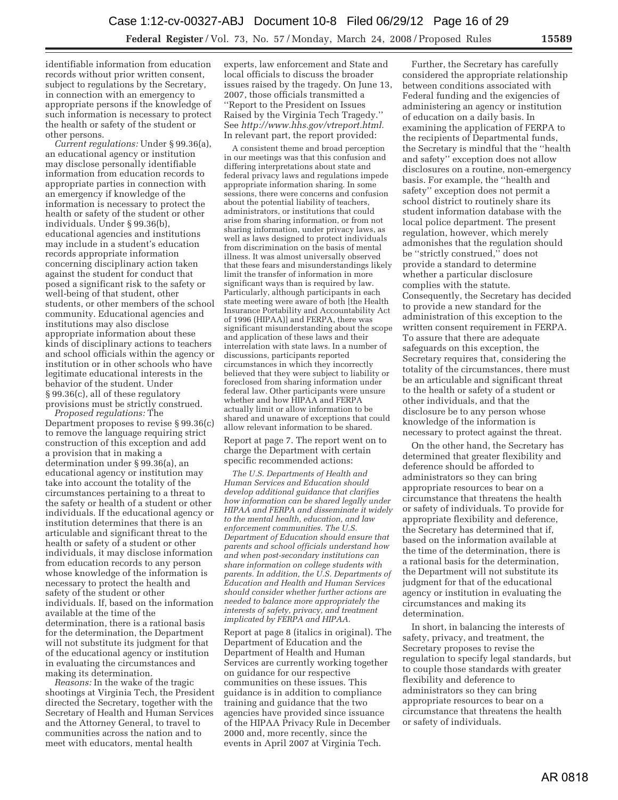identifiable information from education records without prior written consent, subject to regulations by the Secretary, in connection with an emergency to appropriate persons if the knowledge of such information is necessary to protect the health or safety of the student or other persons.

*Current regulations:* Under § 99.36(a), an educational agency or institution may disclose personally identifiable information from education records to appropriate parties in connection with an emergency if knowledge of the information is necessary to protect the health or safety of the student or other individuals. Under § 99.36(b), educational agencies and institutions may include in a student's education records appropriate information concerning disciplinary action taken against the student for conduct that posed a significant risk to the safety or well-being of that student, other students, or other members of the school community. Educational agencies and institutions may also disclose appropriate information about these kinds of disciplinary actions to teachers and school officials within the agency or institution or in other schools who have legitimate educational interests in the behavior of the student. Under § 99.36(c), all of these regulatory provisions must be strictly construed.

*Proposed regulations:* The Department proposes to revise § 99.36(c) to remove the language requiring strict construction of this exception and add a provision that in making a determination under § 99.36(a), an educational agency or institution may take into account the totality of the circumstances pertaining to a threat to the safety or health of a student or other individuals. If the educational agency or institution determines that there is an articulable and significant threat to the health or safety of a student or other individuals, it may disclose information from education records to any person whose knowledge of the information is necessary to protect the health and safety of the student or other individuals. If, based on the information available at the time of the determination, there is a rational basis for the determination, the Department will not substitute its judgment for that of the educational agency or institution in evaluating the circumstances and making its determination.

*Reasons:* In the wake of the tragic shootings at Virginia Tech, the President directed the Secretary, together with the Secretary of Health and Human Services and the Attorney General, to travel to communities across the nation and to meet with educators, mental health

experts, law enforcement and State and local officials to discuss the broader issues raised by the tragedy. On June 13, 2007, those officials transmitted a ''Report to the President on Issues Raised by the Virginia Tech Tragedy.'' See *http://www.hhs.gov/vtreport.html.*  In relevant part, the report provided:

A consistent theme and broad perception in our meetings was that this confusion and differing interpretations about state and federal privacy laws and regulations impede appropriate information sharing. In some sessions, there were concerns and confusion about the potential liability of teachers, administrators, or institutions that could arise from sharing information, or from not sharing information, under privacy laws, as well as laws designed to protect individuals from discrimination on the basis of mental illness. It was almost universally observed that these fears and misunderstandings likely limit the transfer of information in more significant ways than is required by law. Particularly, although participants in each state meeting were aware of both [the Health Insurance Portability and Accountability Act of 1996 (HIPAA)] and FERPA, there was significant misunderstanding about the scope and application of these laws and their interrelation with state laws. In a number of discussions, participants reported circumstances in which they incorrectly believed that they were subject to liability or foreclosed from sharing information under federal law. Other participants were unsure whether and how HIPAA and FERPA actually limit or allow information to be shared and unaware of exceptions that could allow relevant information to be shared.

Report at page 7. The report went on to charge the Department with certain specific recommended actions:

*The U.S. Departments of Health and Human Services and Education should develop additional guidance that clarifies how information can be shared legally under HIPAA and FERPA and disseminate it widely to the mental health, education, and law enforcement communities. The U.S. Department of Education should ensure that parents and school officials understand how and when post-secondary institutions can share information on college students with parents. In addition, the U.S. Departments of Education and Health and Human Services should consider whether further actions are needed to balance more appropriately the interests of safety, privacy, and treatment implicated by FERPA and HIPAA.* 

Report at page 8 (italics in original). The Department of Education and the Department of Health and Human Services are currently working together on guidance for our respective communities on these issues. This guidance is in addition to compliance training and guidance that the two agencies have provided since issuance of the HIPAA Privacy Rule in December 2000 and, more recently, since the events in April 2007 at Virginia Tech.

Further, the Secretary has carefully considered the appropriate relationship between conditions associated with Federal funding and the exigencies of administering an agency or institution of education on a daily basis. In examining the application of FERPA to the recipients of Departmental funds, the Secretary is mindful that the ''health and safety'' exception does not allow disclosures on a routine, non-emergency basis. For example, the ''health and safety'' exception does not permit a school district to routinely share its student information database with the local police department. The present regulation, however, which merely admonishes that the regulation should be ''strictly construed,'' does not provide a standard to determine whether a particular disclosure complies with the statute. Consequently, the Secretary has decided to provide a new standard for the administration of this exception to the written consent requirement in FERPA. To assure that there are adequate safeguards on this exception, the Secretary requires that, considering the totality of the circumstances, there must be an articulable and significant threat to the health or safety of a student or other individuals, and that the disclosure be to any person whose knowledge of the information is necessary to protect against the threat.

On the other hand, the Secretary has determined that greater flexibility and deference should be afforded to administrators so they can bring appropriate resources to bear on a circumstance that threatens the health or safety of individuals. To provide for appropriate flexibility and deference, the Secretary has determined that if, based on the information available at the time of the determination, there is a rational basis for the determination, the Department will not substitute its judgment for that of the educational agency or institution in evaluating the circumstances and making its determination.

In short, in balancing the interests of safety, privacy, and treatment, the Secretary proposes to revise the regulation to specify legal standards, but to couple those standards with greater flexibility and deference to administrators so they can bring appropriate resources to bear on a circumstance that threatens the health or safety of individuals.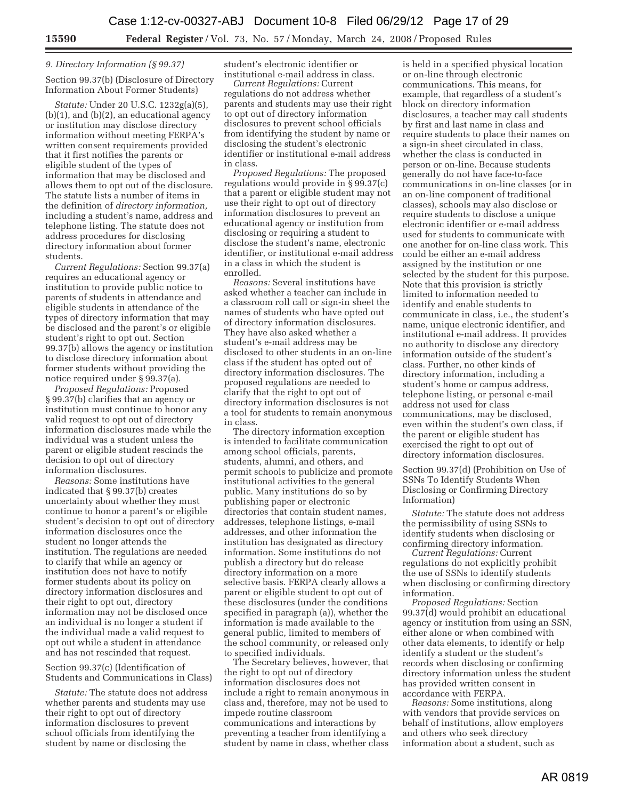## *9. Directory Information (§ 99.37)*

Section 99.37(b) (Disclosure of Directory Information About Former Students)

*Statute:* Under 20 U.S.C. 1232g(a)(5),  $(b)(1)$ , and  $(b)(2)$ , an educational agency or institution may disclose directory information without meeting FERPA's written consent requirements provided that it first notifies the parents or eligible student of the types of information that may be disclosed and allows them to opt out of the disclosure. The statute lists a number of items in the definition of *directory information,*  including a student's name, address and telephone listing. The statute does not address procedures for disclosing directory information about former students.

*Current Regulations:* Section 99.37(a) requires an educational agency or institution to provide public notice to parents of students in attendance and eligible students in attendance of the types of directory information that may be disclosed and the parent's or eligible student's right to opt out. Section 99.37(b) allows the agency or institution to disclose directory information about former students without providing the notice required under § 99.37(a).

*Proposed Regulations:* Proposed § 99.37(b) clarifies that an agency or institution must continue to honor any valid request to opt out of directory information disclosures made while the individual was a student unless the parent or eligible student rescinds the decision to opt out of directory information disclosures.

*Reasons:* Some institutions have indicated that § 99.37(b) creates uncertainty about whether they must continue to honor a parent's or eligible student's decision to opt out of directory information disclosures once the student no longer attends the institution. The regulations are needed to clarify that while an agency or institution does not have to notify former students about its policy on directory information disclosures and their right to opt out, directory information may not be disclosed once an individual is no longer a student if the individual made a valid request to opt out while a student in attendance and has not rescinded that request.

Section 99.37(c) (Identification of Students and Communications in Class)

*Statute:* The statute does not address whether parents and students may use their right to opt out of directory information disclosures to prevent school officials from identifying the student by name or disclosing the

student's electronic identifier or institutional e-mail address in class.

*Current Regulations:* Current regulations do not address whether parents and students may use their right to opt out of directory information disclosures to prevent school officials from identifying the student by name or disclosing the student's electronic identifier or institutional e-mail address in class.

*Proposed Regulations:* The proposed regulations would provide in § 99.37(c) that a parent or eligible student may not use their right to opt out of directory information disclosures to prevent an educational agency or institution from disclosing or requiring a student to disclose the student's name, electronic identifier, or institutional e-mail address in a class in which the student is enrolled.

*Reasons:* Several institutions have asked whether a teacher can include in a classroom roll call or sign-in sheet the names of students who have opted out of directory information disclosures. They have also asked whether a student's e-mail address may be disclosed to other students in an on-line class if the student has opted out of directory information disclosures. The proposed regulations are needed to clarify that the right to opt out of directory information disclosures is not a tool for students to remain anonymous in class.

The directory information exception is intended to facilitate communication among school officials, parents, students, alumni, and others, and permit schools to publicize and promote institutional activities to the general public. Many institutions do so by publishing paper or electronic directories that contain student names, addresses, telephone listings, e-mail addresses, and other information the institution has designated as directory information. Some institutions do not publish a directory but do release directory information on a more selective basis. FERPA clearly allows a parent or eligible student to opt out of these disclosures (under the conditions specified in paragraph (a)), whether the information is made available to the general public, limited to members of the school community, or released only to specified individuals.

The Secretary believes, however, that the right to opt out of directory information disclosures does not include a right to remain anonymous in class and, therefore, may not be used to impede routine classroom communications and interactions by preventing a teacher from identifying a student by name in class, whether class

is held in a specified physical location or on-line through electronic communications. This means, for example, that regardless of a student's block on directory information disclosures, a teacher may call students by first and last name in class and require students to place their names on a sign-in sheet circulated in class, whether the class is conducted in person or on-line. Because students generally do not have face-to-face communications in on-line classes (or in an on-line component of traditional classes), schools may also disclose or require students to disclose a unique electronic identifier or e-mail address used for students to communicate with one another for on-line class work. This could be either an e-mail address assigned by the institution or one selected by the student for this purpose. Note that this provision is strictly limited to information needed to identify and enable students to communicate in class, i.e., the student's name, unique electronic identifier, and institutional e-mail address. It provides no authority to disclose any directory information outside of the student's class. Further, no other kinds of directory information, including a student's home or campus address, telephone listing, or personal e-mail address not used for class communications, may be disclosed, even within the student's own class, if the parent or eligible student has exercised the right to opt out of directory information disclosures.

Section 99.37(d) (Prohibition on Use of SSNs To Identify Students When Disclosing or Confirming Directory Information)

*Statute:* The statute does not address the permissibility of using SSNs to identify students when disclosing or confirming directory information.

*Current Regulations:* Current regulations do not explicitly prohibit the use of SSNs to identify students when disclosing or confirming directory information.

*Proposed Regulations:* Section 99.37(d) would prohibit an educational agency or institution from using an SSN, either alone or when combined with other data elements, to identify or help identify a student or the student's records when disclosing or confirming directory information unless the student has provided written consent in accordance with FERPA.

*Reasons:* Some institutions, along with vendors that provide services on behalf of institutions, allow employers and others who seek directory information about a student, such as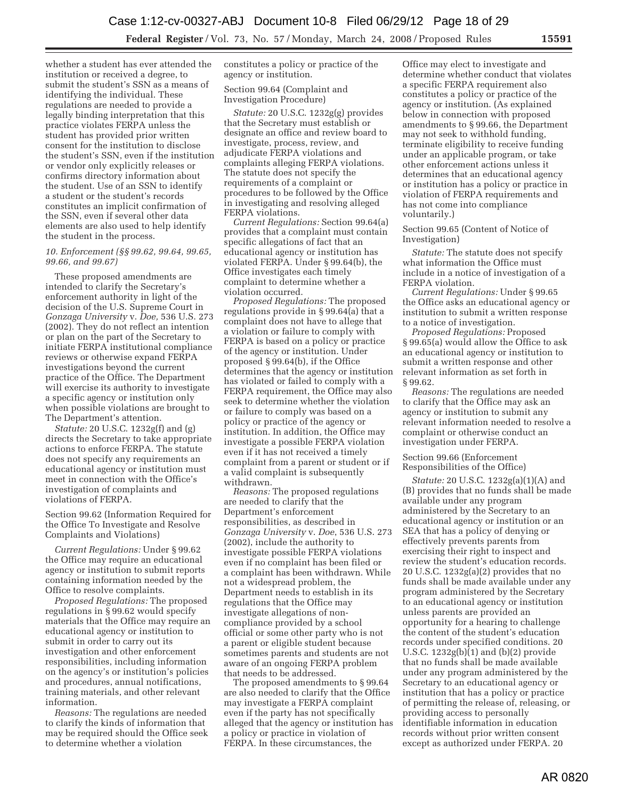whether a student has ever attended the institution or received a degree, to submit the student's SSN as a means of identifying the individual. These regulations are needed to provide a legally binding interpretation that this practice violates FERPA unless the student has provided prior written consent for the institution to disclose the student's SSN, even if the institution or vendor only explicitly releases or confirms directory information about the student. Use of an SSN to identify a student or the student's records constitutes an implicit confirmation of the SSN, even if several other data elements are also used to help identify the student in the process.

#### *10. Enforcement (§§ 99.62, 99.64, 99.65, 99.66, and 99.67)*

These proposed amendments are intended to clarify the Secretary's enforcement authority in light of the decision of the U.S. Supreme Court in *Gonzaga University* v. *Doe,* 536 U.S. 273 (2002). They do not reflect an intention or plan on the part of the Secretary to initiate FERPA institutional compliance reviews or otherwise expand FERPA investigations beyond the current practice of the Office. The Department will exercise its authority to investigate a specific agency or institution only when possible violations are brought to The Department's attention.

*Statute:* 20 U.S.C. 1232g(f) and (g) directs the Secretary to take appropriate actions to enforce FERPA. The statute does not specify any requirements an educational agency or institution must meet in connection with the Office's investigation of complaints and violations of FERPA.

Section 99.62 (Information Required for the Office To Investigate and Resolve Complaints and Violations)

*Current Regulations:* Under § 99.62 the Office may require an educational agency or institution to submit reports containing information needed by the Office to resolve complaints.

*Proposed Regulations:* The proposed regulations in § 99.62 would specify materials that the Office may require an educational agency or institution to submit in order to carry out its investigation and other enforcement responsibilities, including information on the agency's or institution's policies and procedures, annual notifications, training materials, and other relevant information.

*Reasons:* The regulations are needed to clarify the kinds of information that may be required should the Office seek to determine whether a violation

constitutes a policy or practice of the agency or institution.

Section 99.64 (Complaint and Investigation Procedure)

*Statute:* 20 U.S.C. 1232g(g) provides that the Secretary must establish or designate an office and review board to investigate, process, review, and adjudicate FERPA violations and complaints alleging FERPA violations. The statute does not specify the requirements of a complaint or procedures to be followed by the Office in investigating and resolving alleged FERPA violations.

*Current Regulations:* Section 99.64(a) provides that a complaint must contain specific allegations of fact that an educational agency or institution has violated FERPA. Under § 99.64(b), the Office investigates each timely complaint to determine whether a violation occurred.

*Proposed Regulations:* The proposed regulations provide in § 99.64(a) that a complaint does not have to allege that a violation or failure to comply with FERPA is based on a policy or practice of the agency or institution. Under proposed § 99.64(b), if the Office determines that the agency or institution has violated or failed to comply with a FERPA requirement, the Office may also seek to determine whether the violation or failure to comply was based on a policy or practice of the agency or institution. In addition, the Office may investigate a possible FERPA violation even if it has not received a timely complaint from a parent or student or if a valid complaint is subsequently withdrawn.

*Reasons:* The proposed regulations are needed to clarify that the Department's enforcement responsibilities, as described in *Gonzaga University* v. *Doe*, 536 U.S. 273 (2002), include the authority to investigate possible FERPA violations even if no complaint has been filed or a complaint has been withdrawn. While not a widespread problem, the Department needs to establish in its regulations that the Office may investigate allegations of noncompliance provided by a school official or some other party who is not a parent or eligible student because sometimes parents and students are not aware of an ongoing FERPA problem that needs to be addressed.

The proposed amendments to § 99.64 are also needed to clarify that the Office may investigate a FERPA complaint even if the party has not specifically alleged that the agency or institution has a policy or practice in violation of FERPA. In these circumstances, the

Office may elect to investigate and determine whether conduct that violates a specific FERPA requirement also constitutes a policy or practice of the agency or institution. (As explained below in connection with proposed amendments to § 99.66, the Department may not seek to withhold funding, terminate eligibility to receive funding under an applicable program, or take other enforcement actions unless it determines that an educational agency or institution has a policy or practice in violation of FERPA requirements and has not come into compliance voluntarily.)

Section 99.65 (Content of Notice of Investigation)

*Statute:* The statute does not specify what information the Office must include in a notice of investigation of a FERPA violation.

*Current Regulations:* Under § 99.65 the Office asks an educational agency or institution to submit a written response to a notice of investigation.

*Proposed Regulations:* Proposed § 99.65(a) would allow the Office to ask an educational agency or institution to submit a written response and other relevant information as set forth in § 99.62.

*Reasons:* The regulations are needed to clarify that the Office may ask an agency or institution to submit any relevant information needed to resolve a complaint or otherwise conduct an investigation under FERPA.

Section 99.66 (Enforcement Responsibilities of the Office)

*Statute:* 20 U.S.C. 1232g(a)(1)(A) and (B) provides that no funds shall be made available under any program administered by the Secretary to an educational agency or institution or an SEA that has a policy of denying or effectively prevents parents from exercising their right to inspect and review the student's education records. 20 U.S.C. 1232g(a)(2) provides that no funds shall be made available under any program administered by the Secretary to an educational agency or institution unless parents are provided an opportunity for a hearing to challenge the content of the student's education records under specified conditions. 20 U.S.C. 1232g(b)(1) and (b)(2) provide that no funds shall be made available under any program administered by the Secretary to an educational agency or institution that has a policy or practice of permitting the release of, releasing, or providing access to personally identifiable information in education records without prior written consent except as authorized under FERPA. 20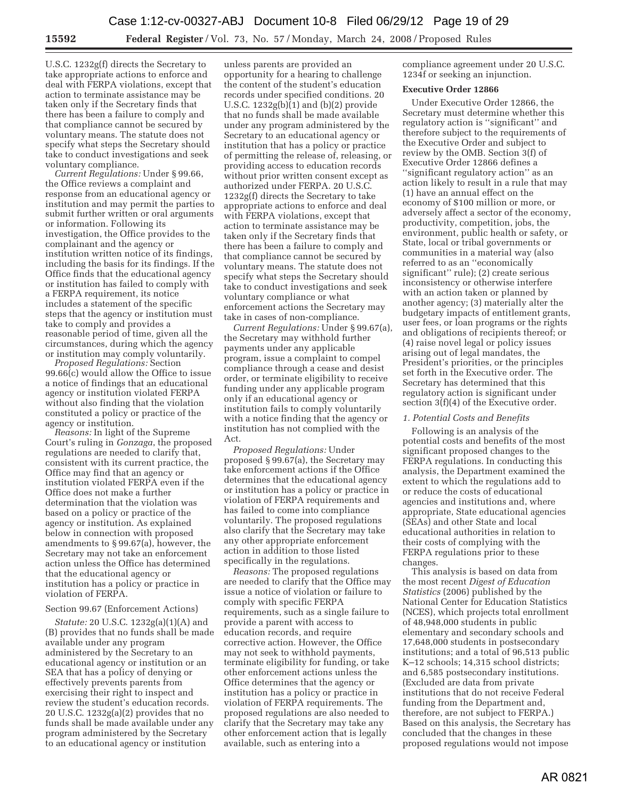U.S.C. 1232g(f) directs the Secretary to take appropriate actions to enforce and deal with FERPA violations, except that action to terminate assistance may be taken only if the Secretary finds that there has been a failure to comply and that compliance cannot be secured by voluntary means. The statute does not specify what steps the Secretary should take to conduct investigations and seek voluntary compliance.

*Current Regulations:* Under § 99.66, the Office reviews a complaint and response from an educational agency or institution and may permit the parties to submit further written or oral arguments or information. Following its investigation, the Office provides to the complainant and the agency or institution written notice of its findings, including the basis for its findings. If the Office finds that the educational agency or institution has failed to comply with a FERPA requirement, its notice includes a statement of the specific steps that the agency or institution must take to comply and provides a reasonable period of time, given all the circumstances, during which the agency or institution may comply voluntarily.

*Proposed Regulations:* Section 99.66(c) would allow the Office to issue a notice of findings that an educational agency or institution violated FERPA without also finding that the violation constituted a policy or practice of the agency or institution.

*Reasons:* In light of the Supreme Court's ruling in *Gonzaga*, the proposed regulations are needed to clarify that, consistent with its current practice, the Office may find that an agency or institution violated FERPA even if the Office does not make a further determination that the violation was based on a policy or practice of the agency or institution. As explained below in connection with proposed amendments to § 99.67(a), however, the Secretary may not take an enforcement action unless the Office has determined that the educational agency or institution has a policy or practice in violation of FERPA.

## Section 99.67 (Enforcement Actions)

*Statute:* 20 U.S.C. 1232g(a)(1)(A) and (B) provides that no funds shall be made available under any program administered by the Secretary to an educational agency or institution or an SEA that has a policy of denying or effectively prevents parents from exercising their right to inspect and review the student's education records. 20 U.S.C. 1232g(a)(2) provides that no funds shall be made available under any program administered by the Secretary to an educational agency or institution

unless parents are provided an opportunity for a hearing to challenge the content of the student's education records under specified conditions. 20 U.S.C. 1232g(b)(1) and (b)(2) provide that no funds shall be made available under any program administered by the Secretary to an educational agency or institution that has a policy or practice of permitting the release of, releasing, or providing access to education records without prior written consent except as authorized under FERPA. 20 U.S.C. 1232g(f) directs the Secretary to take appropriate actions to enforce and deal with FERPA violations, except that action to terminate assistance may be taken only if the Secretary finds that there has been a failure to comply and that compliance cannot be secured by voluntary means. The statute does not specify what steps the Secretary should take to conduct investigations and seek voluntary compliance or what enforcement actions the Secretary may take in cases of non-compliance.

*Current Regulations:* Under § 99.67(a), the Secretary may withhold further payments under any applicable program, issue a complaint to compel compliance through a cease and desist order, or terminate eligibility to receive funding under any applicable program only if an educational agency or institution fails to comply voluntarily with a notice finding that the agency or institution has not complied with the Act.

*Proposed Regulations:* Under proposed § 99.67(a), the Secretary may take enforcement actions if the Office determines that the educational agency or institution has a policy or practice in violation of FERPA requirements and has failed to come into compliance voluntarily. The proposed regulations also clarify that the Secretary may take any other appropriate enforcement action in addition to those listed specifically in the regulations.

*Reasons:* The proposed regulations are needed to clarify that the Office may issue a notice of violation or failure to comply with specific FERPA requirements, such as a single failure to provide a parent with access to education records, and require corrective action. However, the Office may not seek to withhold payments, terminate eligibility for funding, or take other enforcement actions unless the Office determines that the agency or institution has a policy or practice in violation of FERPA requirements. The proposed regulations are also needed to clarify that the Secretary may take any other enforcement action that is legally available, such as entering into a

compliance agreement under 20 U.S.C. 1234f or seeking an injunction.

## **Executive Order 12866**

Under Executive Order 12866, the Secretary must determine whether this regulatory action is ''significant'' and therefore subject to the requirements of the Executive Order and subject to review by the OMB. Section 3(f) of Executive Order 12866 defines a ''significant regulatory action'' as an action likely to result in a rule that may (1) have an annual effect on the economy of \$100 million or more, or adversely affect a sector of the economy, productivity, competition, jobs, the environment, public health or safety, or State, local or tribal governments or communities in a material way (also referred to as an ''economically significant'' rule); (2) create serious inconsistency or otherwise interfere with an action taken or planned by another agency; (3) materially alter the budgetary impacts of entitlement grants, user fees, or loan programs or the rights and obligations of recipients thereof; or (4) raise novel legal or policy issues arising out of legal mandates, the President's priorities, or the principles set forth in the Executive order. The Secretary has determined that this regulatory action is significant under section 3(f)(4) of the Executive order.

## *1. Potential Costs and Benefits*

Following is an analysis of the potential costs and benefits of the most significant proposed changes to the FERPA regulations. In conducting this analysis, the Department examined the extent to which the regulations add to or reduce the costs of educational agencies and institutions and, where appropriate, State educational agencies (SEAs) and other State and local educational authorities in relation to their costs of complying with the FERPA regulations prior to these changes.

This analysis is based on data from the most recent *Digest of Education Statistics* (2006) published by the National Center for Education Statistics (NCES), which projects total enrollment of 48,948,000 students in public elementary and secondary schools and 17,648,000 students in postsecondary institutions; and a total of 96,513 public K–12 schools; 14,315 school districts; and 6,585 postsecondary institutions. (Excluded are data from private institutions that do not receive Federal funding from the Department and, therefore, are not subject to FERPA.) Based on this analysis, the Secretary has concluded that the changes in these proposed regulations would not impose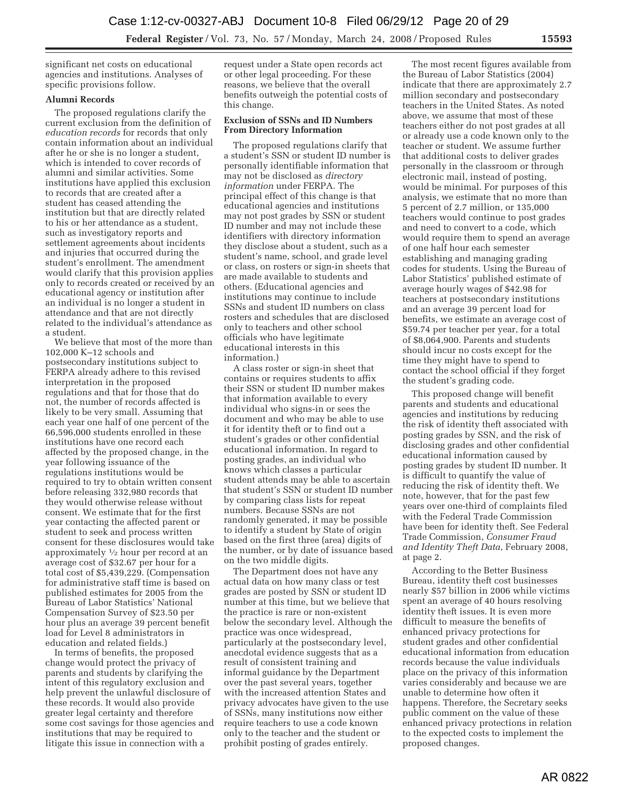significant net costs on educational agencies and institutions. Analyses of specific provisions follow.

## **Alumni Records**

The proposed regulations clarify the current exclusion from the definition of *education records* for records that only contain information about an individual after he or she is no longer a student, which is intended to cover records of alumni and similar activities. Some institutions have applied this exclusion to records that are created after a student has ceased attending the institution but that are directly related to his or her attendance as a student, such as investigatory reports and settlement agreements about incidents and injuries that occurred during the student's enrollment. The amendment would clarify that this provision applies only to records created or received by an educational agency or institution after an individual is no longer a student in attendance and that are not directly related to the individual's attendance as a student.

We believe that most of the more than 102,000 K–12 schools and postsecondary institutions subject to FERPA already adhere to this revised interpretation in the proposed regulations and that for those that do not, the number of records affected is likely to be very small. Assuming that each year one half of one percent of the 66,596,000 students enrolled in these institutions have one record each affected by the proposed change, in the year following issuance of the regulations institutions would be required to try to obtain written consent before releasing 332,980 records that they would otherwise release without consent. We estimate that for the first year contacting the affected parent or student to seek and process written consent for these disclosures would take approximately 1⁄2 hour per record at an average cost of \$32.67 per hour for a total cost of \$5,439,229. (Compensation for administrative staff time is based on published estimates for 2005 from the Bureau of Labor Statistics' National Compensation Survey of \$23.50 per hour plus an average 39 percent benefit load for Level 8 administrators in education and related fields.)

In terms of benefits, the proposed change would protect the privacy of parents and students by clarifying the intent of this regulatory exclusion and help prevent the unlawful disclosure of these records. It would also provide greater legal certainty and therefore some cost savings for those agencies and institutions that may be required to litigate this issue in connection with a

request under a State open records act or other legal proceeding. For these reasons, we believe that the overall benefits outweigh the potential costs of this change.

#### **Exclusion of SSNs and ID Numbers From Directory Information**

The proposed regulations clarify that a student's SSN or student ID number is personally identifiable information that may not be disclosed as *directory information* under FERPA. The principal effect of this change is that educational agencies and institutions may not post grades by SSN or student ID number and may not include these identifiers with directory information they disclose about a student, such as a student's name, school, and grade level or class, on rosters or sign-in sheets that are made available to students and others. (Educational agencies and institutions may continue to include SSNs and student ID numbers on class rosters and schedules that are disclosed only to teachers and other school officials who have legitimate educational interests in this information.)

A class roster or sign-in sheet that contains or requires students to affix their SSN or student ID number makes that information available to every individual who signs-in or sees the document and who may be able to use it for identity theft or to find out a student's grades or other confidential educational information. In regard to posting grades, an individual who knows which classes a particular student attends may be able to ascertain that student's SSN or student ID number by comparing class lists for repeat numbers. Because SSNs are not randomly generated, it may be possible to identify a student by State of origin based on the first three (area) digits of the number, or by date of issuance based on the two middle digits.

The Department does not have any actual data on how many class or test grades are posted by SSN or student ID number at this time, but we believe that the practice is rare or non-existent below the secondary level. Although the practice was once widespread, particularly at the postsecondary level, anecdotal evidence suggests that as a result of consistent training and informal guidance by the Department over the past several years, together with the increased attention States and privacy advocates have given to the use of SSNs, many institutions now either require teachers to use a code known only to the teacher and the student or prohibit posting of grades entirely.

The most recent figures available from the Bureau of Labor Statistics (2004) indicate that there are approximately 2.7 million secondary and postsecondary teachers in the United States. As noted above, we assume that most of these teachers either do not post grades at all or already use a code known only to the teacher or student. We assume further that additional costs to deliver grades personally in the classroom or through electronic mail, instead of posting, would be minimal. For purposes of this analysis, we estimate that no more than 5 percent of 2.7 million, or 135,000 teachers would continue to post grades and need to convert to a code, which would require them to spend an average of one half hour each semester establishing and managing grading codes for students. Using the Bureau of Labor Statistics' published estimate of average hourly wages of \$42.98 for teachers at postsecondary institutions and an average 39 percent load for benefits, we estimate an average cost of \$59.74 per teacher per year, for a total of \$8,064,900. Parents and students should incur no costs except for the time they might have to spend to contact the school official if they forget the student's grading code.

This proposed change will benefit parents and students and educational agencies and institutions by reducing the risk of identity theft associated with posting grades by SSN, and the risk of disclosing grades and other confidential educational information caused by posting grades by student ID number. It is difficult to quantify the value of reducing the risk of identity theft. We note, however, that for the past few years over one-third of complaints filed with the Federal Trade Commission have been for identity theft. See Federal Trade Commission, *Consumer Fraud and Identity Theft Data*, February 2008, at page 2.

According to the Better Business Bureau, identity theft cost businesses nearly \$57 billion in 2006 while victims spent an average of 40 hours resolving identity theft issues. It is even more difficult to measure the benefits of enhanced privacy protections for student grades and other confidential educational information from education records because the value individuals place on the privacy of this information varies considerably and because we are unable to determine how often it happens. Therefore, the Secretary seeks public comment on the value of these enhanced privacy protections in relation to the expected costs to implement the proposed changes.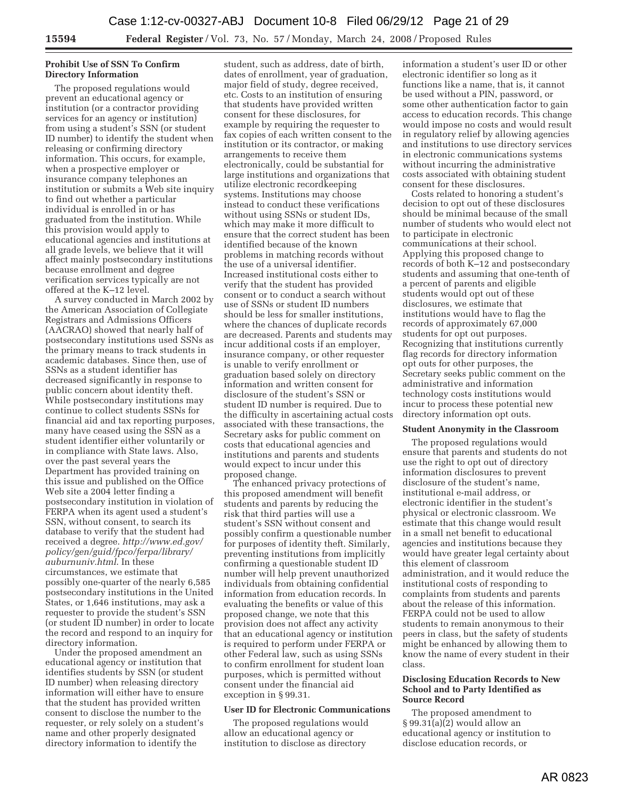## **Prohibit Use of SSN To Confirm Directory Information**

The proposed regulations would prevent an educational agency or institution (or a contractor providing services for an agency or institution) from using a student's SSN (or student ID number) to identify the student when releasing or confirming directory information. This occurs, for example, when a prospective employer or insurance company telephones an institution or submits a Web site inquiry to find out whether a particular individual is enrolled in or has graduated from the institution. While this provision would apply to educational agencies and institutions at all grade levels, we believe that it will affect mainly postsecondary institutions because enrollment and degree verification services typically are not offered at the K–12 level.

A survey conducted in March 2002 by the American Association of Collegiate Registrars and Admissions Officers (AACRAO) showed that nearly half of postsecondary institutions used SSNs as the primary means to track students in academic databases. Since then, use of SSNs as a student identifier has decreased significantly in response to public concern about identity theft. While postsecondary institutions may continue to collect students SSNs for financial aid and tax reporting purposes, many have ceased using the SSN as a student identifier either voluntarily or in compliance with State laws. Also, over the past several years the Department has provided training on this issue and published on the Office Web site a 2004 letter finding a postsecondary institution in violation of FERPA when its agent used a student's SSN, without consent, to search its database to verify that the student had received a degree. *http://www.ed.gov/ policy/gen/guid/fpco/ferpa/library/ auburnuniv.html*. In these circumstances, we estimate that possibly one-quarter of the nearly 6,585 postsecondary institutions in the United States, or 1,646 institutions, may ask a requester to provide the student's SSN (or student ID number) in order to locate the record and respond to an inquiry for directory information.

Under the proposed amendment an educational agency or institution that identifies students by SSN (or student ID number) when releasing directory information will either have to ensure that the student has provided written consent to disclose the number to the requester, or rely solely on a student's name and other properly designated directory information to identify the

student, such as address, date of birth, dates of enrollment, year of graduation, major field of study, degree received, etc. Costs to an institution of ensuring that students have provided written consent for these disclosures, for example by requiring the requester to fax copies of each written consent to the institution or its contractor, or making arrangements to receive them electronically, could be substantial for large institutions and organizations that utilize electronic recordkeeping systems. Institutions may choose instead to conduct these verifications without using SSNs or student IDs, which may make it more difficult to ensure that the correct student has been identified because of the known problems in matching records without the use of a universal identifier. Increased institutional costs either to verify that the student has provided consent or to conduct a search without use of SSNs or student ID numbers should be less for smaller institutions, where the chances of duplicate records are decreased. Parents and students may incur additional costs if an employer, insurance company, or other requester is unable to verify enrollment or graduation based solely on directory information and written consent for disclosure of the student's SSN or student ID number is required. Due to the difficulty in ascertaining actual costs associated with these transactions, the Secretary asks for public comment on costs that educational agencies and institutions and parents and students would expect to incur under this proposed change.

The enhanced privacy protections of this proposed amendment will benefit students and parents by reducing the risk that third parties will use a student's SSN without consent and possibly confirm a questionable number for purposes of identity theft. Similarly, preventing institutions from implicitly confirming a questionable student ID number will help prevent unauthorized individuals from obtaining confidential information from education records. In evaluating the benefits or value of this proposed change, we note that this provision does not affect any activity that an educational agency or institution is required to perform under FERPA or other Federal law, such as using SSNs to confirm enrollment for student loan purposes, which is permitted without consent under the financial aid exception in § 99.31.

## **User ID for Electronic Communications**

The proposed regulations would allow an educational agency or institution to disclose as directory

information a student's user ID or other electronic identifier so long as it functions like a name, that is, it cannot be used without a PIN, password, or some other authentication factor to gain access to education records. This change would impose no costs and would result in regulatory relief by allowing agencies and institutions to use directory services in electronic communications systems without incurring the administrative costs associated with obtaining student consent for these disclosures.

Costs related to honoring a student's decision to opt out of these disclosures should be minimal because of the small number of students who would elect not to participate in electronic communications at their school. Applying this proposed change to records of both K–12 and postsecondary students and assuming that one-tenth of a percent of parents and eligible students would opt out of these disclosures, we estimate that institutions would have to flag the records of approximately 67,000 students for opt out purposes. Recognizing that institutions currently flag records for directory information opt outs for other purposes, the Secretary seeks public comment on the administrative and information technology costs institutions would incur to process these potential new directory information opt outs.

#### **Student Anonymity in the Classroom**

The proposed regulations would ensure that parents and students do not use the right to opt out of directory information disclosures to prevent disclosure of the student's name, institutional e-mail address, or electronic identifier in the student's physical or electronic classroom. We estimate that this change would result in a small net benefit to educational agencies and institutions because they would have greater legal certainty about this element of classroom administration, and it would reduce the institutional costs of responding to complaints from students and parents about the release of this information. FERPA could not be used to allow students to remain anonymous to their peers in class, but the safety of students might be enhanced by allowing them to know the name of every student in their class.

## **Disclosing Education Records to New School and to Party Identified as Source Record**

The proposed amendment to § 99.31(a)(2) would allow an educational agency or institution to disclose education records, or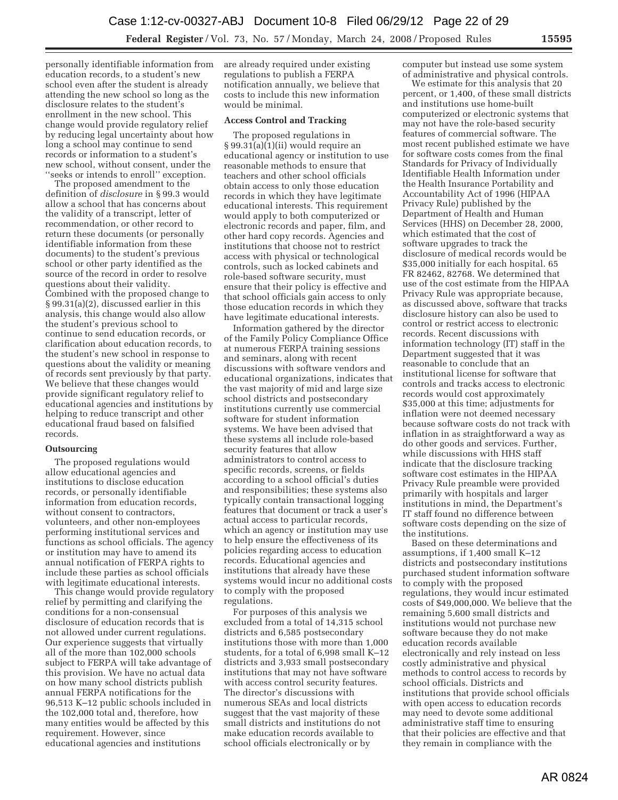personally identifiable information from education records, to a student's new school even after the student is already attending the new school so long as the disclosure relates to the student's enrollment in the new school. This change would provide regulatory relief by reducing legal uncertainty about how long a school may continue to send records or information to a student's new school, without consent, under the ''seeks or intends to enroll'' exception.

The proposed amendment to the definition of *disclosure* in § 99.3 would allow a school that has concerns about the validity of a transcript, letter of recommendation, or other record to return these documents (or personally identifiable information from these documents) to the student's previous school or other party identified as the source of the record in order to resolve questions about their validity. Combined with the proposed change to § 99.31(a)(2), discussed earlier in this analysis, this change would also allow the student's previous school to continue to send education records, or clarification about education records, to the student's new school in response to questions about the validity or meaning of records sent previously by that party. We believe that these changes would provide significant regulatory relief to educational agencies and institutions by helping to reduce transcript and other educational fraud based on falsified records.

## **Outsourcing**

The proposed regulations would allow educational agencies and institutions to disclose education records, or personally identifiable information from education records, without consent to contractors, volunteers, and other non-employees performing institutional services and functions as school officials. The agency or institution may have to amend its annual notification of FERPA rights to include these parties as school officials with legitimate educational interests.

This change would provide regulatory relief by permitting and clarifying the conditions for a non-consensual disclosure of education records that is not allowed under current regulations. Our experience suggests that virtually all of the more than 102,000 schools subject to FERPA will take advantage of this provision. We have no actual data on how many school districts publish annual FERPA notifications for the 96,513 K–12 public schools included in the 102,000 total and, therefore, how many entities would be affected by this requirement. However, since educational agencies and institutions

are already required under existing regulations to publish a FERPA notification annually, we believe that costs to include this new information would be minimal.

## **Access Control and Tracking**

The proposed regulations in § 99.31(a)(1)(ii) would require an educational agency or institution to use reasonable methods to ensure that teachers and other school officials obtain access to only those education records in which they have legitimate educational interests. This requirement would apply to both computerized or electronic records and paper, film, and other hard copy records. Agencies and institutions that choose not to restrict access with physical or technological controls, such as locked cabinets and role-based software security, must ensure that their policy is effective and that school officials gain access to only those education records in which they have legitimate educational interests.

Information gathered by the director of the Family Policy Compliance Office at numerous FERPA training sessions and seminars, along with recent discussions with software vendors and educational organizations, indicates that the vast majority of mid and large size school districts and postsecondary institutions currently use commercial software for student information systems. We have been advised that these systems all include role-based security features that allow administrators to control access to specific records, screens, or fields according to a school official's duties and responsibilities; these systems also typically contain transactional logging features that document or track a user's actual access to particular records, which an agency or institution may use to help ensure the effectiveness of its policies regarding access to education records. Educational agencies and institutions that already have these systems would incur no additional costs to comply with the proposed regulations.

For purposes of this analysis we excluded from a total of 14,315 school districts and 6,585 postsecondary institutions those with more than 1,000 students, for a total of 6,998 small K–12 districts and 3,933 small postsecondary institutions that may not have software with access control security features. The director's discussions with numerous SEAs and local districts suggest that the vast majority of these small districts and institutions do not make education records available to school officials electronically or by

computer but instead use some system of administrative and physical controls.

We estimate for this analysis that 20 percent, or 1,400, of these small districts and institutions use home-built computerized or electronic systems that may not have the role-based security features of commercial software. The most recent published estimate we have for software costs comes from the final Standards for Privacy of Individually Identifiable Health Information under the Health Insurance Portability and Accountability Act of 1996 (HIPAA Privacy Rule) published by the Department of Health and Human Services (HHS) on December 28, 2000, which estimated that the cost of software upgrades to track the disclosure of medical records would be \$35,000 initially for each hospital. 65 FR 82462, 82768. We determined that use of the cost estimate from the HIPAA Privacy Rule was appropriate because, as discussed above, software that tracks disclosure history can also be used to control or restrict access to electronic records. Recent discussions with information technology (IT) staff in the Department suggested that it was reasonable to conclude that an institutional license for software that controls and tracks access to electronic records would cost approximately \$35,000 at this time; adjustments for inflation were not deemed necessary because software costs do not track with inflation in as straightforward a way as do other goods and services. Further, while discussions with HHS staff indicate that the disclosure tracking software cost estimates in the HIPAA Privacy Rule preamble were provided primarily with hospitals and larger institutions in mind, the Department's IT staff found no difference between software costs depending on the size of the institutions.

Based on these determinations and assumptions, if 1,400 small K–12 districts and postsecondary institutions purchased student information software to comply with the proposed regulations, they would incur estimated costs of \$49,000,000. We believe that the remaining 5,600 small districts and institutions would not purchase new software because they do not make education records available electronically and rely instead on less costly administrative and physical methods to control access to records by school officials. Districts and institutions that provide school officials with open access to education records may need to devote some additional administrative staff time to ensuring that their policies are effective and that they remain in compliance with the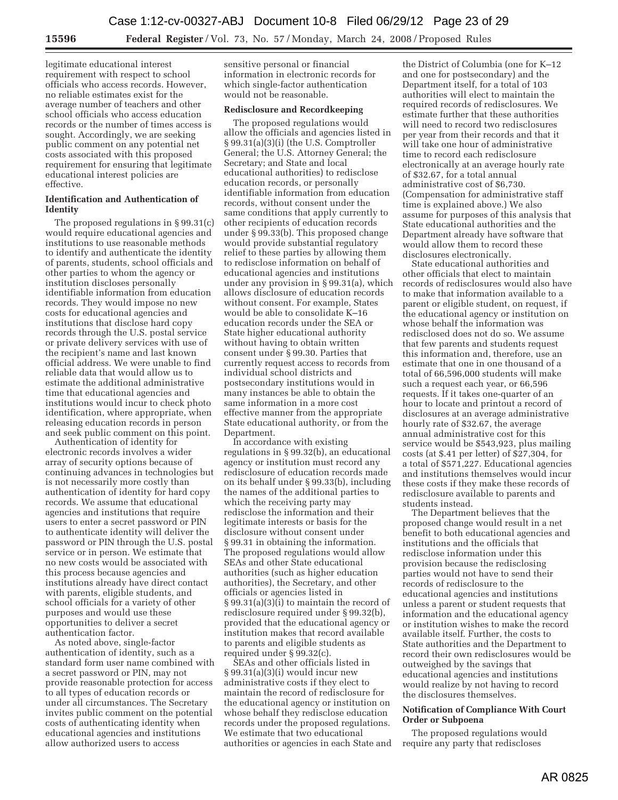legitimate educational interest requirement with respect to school officials who access records. However, no reliable estimates exist for the average number of teachers and other school officials who access education records or the number of times access is sought. Accordingly, we are seeking public comment on any potential net costs associated with this proposed requirement for ensuring that legitimate educational interest policies are effective.

## **Identification and Authentication of Identity**

The proposed regulations in § 99.31(c) would require educational agencies and institutions to use reasonable methods to identify and authenticate the identity of parents, students, school officials and other parties to whom the agency or institution discloses personally identifiable information from education records. They would impose no new costs for educational agencies and institutions that disclose hard copy records through the U.S. postal service or private delivery services with use of the recipient's name and last known official address. We were unable to find reliable data that would allow us to estimate the additional administrative time that educational agencies and institutions would incur to check photo identification, where appropriate, when releasing education records in person and seek public comment on this point.

Authentication of identity for electronic records involves a wider array of security options because of continuing advances in technologies but is not necessarily more costly than authentication of identity for hard copy records. We assume that educational agencies and institutions that require users to enter a secret password or PIN to authenticate identity will deliver the password or PIN through the U.S. postal service or in person. We estimate that no new costs would be associated with this process because agencies and institutions already have direct contact with parents, eligible students, and school officials for a variety of other purposes and would use these opportunities to deliver a secret authentication factor.

As noted above, single-factor authentication of identity, such as a standard form user name combined with a secret password or PIN, may not provide reasonable protection for access to all types of education records or under all circumstances. The Secretary invites public comment on the potential costs of authenticating identity when educational agencies and institutions allow authorized users to access

sensitive personal or financial information in electronic records for which single-factor authentication would not be reasonable.

## **Redisclosure and Recordkeeping**

The proposed regulations would allow the officials and agencies listed in § 99.31(a)(3)(i) (the U.S. Comptroller General; the U.S. Attorney General; the Secretary; and State and local educational authorities) to redisclose education records, or personally identifiable information from education records, without consent under the same conditions that apply currently to other recipients of education records under § 99.33(b). This proposed change would provide substantial regulatory relief to these parties by allowing them to redisclose information on behalf of educational agencies and institutions under any provision in § 99.31(a), which allows disclosure of education records without consent. For example, States would be able to consolidate K–16 education records under the SEA or State higher educational authority without having to obtain written consent under § 99.30. Parties that currently request access to records from individual school districts and postsecondary institutions would in many instances be able to obtain the same information in a more cost effective manner from the appropriate State educational authority, or from the Department.

In accordance with existing regulations in § 99.32(b), an educational agency or institution must record any redisclosure of education records made on its behalf under § 99.33(b), including the names of the additional parties to which the receiving party may redisclose the information and their legitimate interests or basis for the disclosure without consent under § 99.31 in obtaining the information. The proposed regulations would allow SEAs and other State educational authorities (such as higher education authorities), the Secretary, and other officials or agencies listed in § 99.31(a)(3)(i) to maintain the record of redisclosure required under § 99.32(b), provided that the educational agency or institution makes that record available to parents and eligible students as required under § 99.32(c).

SEAs and other officials listed in  $§ 99.31(a)(3)(i)$  would incur new administrative costs if they elect to maintain the record of redisclosure for the educational agency or institution on whose behalf they redisclose education records under the proposed regulations. We estimate that two educational authorities or agencies in each State and

the District of Columbia (one for K–12 and one for postsecondary) and the Department itself, for a total of 103 authorities will elect to maintain the required records of redisclosures. We estimate further that these authorities will need to record two redisclosures per year from their records and that it will take one hour of administrative time to record each redisclosure electronically at an average hourly rate of \$32.67, for a total annual administrative cost of \$6,730. (Compensation for administrative staff time is explained above.) We also assume for purposes of this analysis that State educational authorities and the Department already have software that would allow them to record these disclosures electronically.

State educational authorities and other officials that elect to maintain records of redisclosures would also have to make that information available to a parent or eligible student, on request, if the educational agency or institution on whose behalf the information was redisclosed does not do so. We assume that few parents and students request this information and, therefore, use an estimate that one in one thousand of a total of 66,596,000 students will make such a request each year, or 66,596 requests. If it takes one-quarter of an hour to locate and printout a record of disclosures at an average administrative hourly rate of \$32.67, the average annual administrative cost for this service would be \$543,923, plus mailing costs (at \$.41 per letter) of \$27,304, for a total of \$571,227. Educational agencies and institutions themselves would incur these costs if they make these records of redisclosure available to parents and students instead.

The Department believes that the proposed change would result in a net benefit to both educational agencies and institutions and the officials that redisclose information under this provision because the redisclosing parties would not have to send their records of redisclosure to the educational agencies and institutions unless a parent or student requests that information and the educational agency or institution wishes to make the record available itself. Further, the costs to State authorities and the Department to record their own redisclosures would be outweighed by the savings that educational agencies and institutions would realize by not having to record the disclosures themselves.

## **Notification of Compliance With Court Order or Subpoena**

The proposed regulations would require any party that rediscloses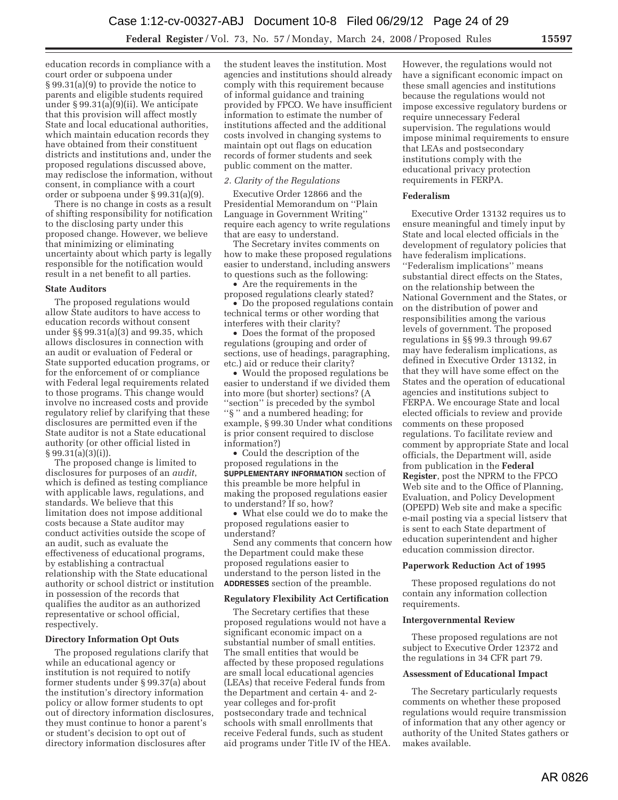education records in compliance with a court order or subpoena under § 99.31(a)(9) to provide the notice to parents and eligible students required under § 99.31(a)(9)(ii). We anticipate that this provision will affect mostly State and local educational authorities, which maintain education records they have obtained from their constituent districts and institutions and, under the proposed regulations discussed above, may redisclose the information, without consent, in compliance with a court order or subpoena under § 99.31(a)(9).

There is no change in costs as a result of shifting responsibility for notification to the disclosing party under this proposed change. However, we believe that minimizing or eliminating uncertainty about which party is legally responsible for the notification would result in a net benefit to all parties.

#### **State Auditors**

The proposed regulations would allow State auditors to have access to education records without consent under §§ 99.31(a)(3) and 99.35, which allows disclosures in connection with an audit or evaluation of Federal or State supported education programs, or for the enforcement of or compliance with Federal legal requirements related to those programs. This change would involve no increased costs and provide regulatory relief by clarifying that these disclosures are permitted even if the State auditor is not a State educational authority (or other official listed in § 99.31(a)(3)(i)).

The proposed change is limited to disclosures for purposes of an *audit*, which is defined as testing compliance with applicable laws, regulations, and standards. We believe that this limitation does not impose additional costs because a State auditor may conduct activities outside the scope of an audit, such as evaluate the effectiveness of educational programs, by establishing a contractual relationship with the State educational authority or school district or institution in possession of the records that qualifies the auditor as an authorized representative or school official, respectively.

## **Directory Information Opt Outs**

The proposed regulations clarify that while an educational agency or institution is not required to notify former students under § 99.37(a) about the institution's directory information policy or allow former students to opt out of directory information disclosures, they must continue to honor a parent's or student's decision to opt out of directory information disclosures after

the student leaves the institution. Most agencies and institutions should already comply with this requirement because of informal guidance and training provided by FPCO. We have insufficient information to estimate the number of institutions affected and the additional costs involved in changing systems to maintain opt out flags on education records of former students and seek public comment on the matter.

## *2. Clarity of the Regulations*

Executive Order 12866 and the Presidential Memorandum on ''Plain Language in Government Writing'' require each agency to write regulations that are easy to understand.

The Secretary invites comments on how to make these proposed regulations easier to understand, including answers to questions such as the following:

• Are the requirements in the proposed regulations clearly stated?

• Do the proposed regulations contain technical terms or other wording that interferes with their clarity?

• Does the format of the proposed regulations (grouping and order of sections, use of headings, paragraphing, etc.) aid or reduce their clarity?

• Would the proposed regulations be easier to understand if we divided them into more (but shorter) sections? (A ''section'' is preceded by the symbol ''§ '' and a numbered heading; for example, § 99.30 Under what conditions is prior consent required to disclose information?)

• Could the description of the proposed regulations in the **SUPPLEMENTARY INFORMATION** section of this preamble be more helpful in making the proposed regulations easier to understand? If so, how?

• What else could we do to make the proposed regulations easier to understand?

Send any comments that concern how the Department could make these proposed regulations easier to understand to the person listed in the **ADDRESSES** section of the preamble.

#### **Regulatory Flexibility Act Certification**

The Secretary certifies that these proposed regulations would not have a significant economic impact on a substantial number of small entities. The small entities that would be affected by these proposed regulations are small local educational agencies (LEAs) that receive Federal funds from the Department and certain 4- and 2 year colleges and for-profit postsecondary trade and technical schools with small enrollments that receive Federal funds, such as student aid programs under Title IV of the HEA.

However, the regulations would not have a significant economic impact on these small agencies and institutions because the regulations would not impose excessive regulatory burdens or require unnecessary Federal supervision. The regulations would impose minimal requirements to ensure that LEAs and postsecondary institutions comply with the educational privacy protection requirements in FERPA.

#### **Federalism**

Executive Order 13132 requires us to ensure meaningful and timely input by State and local elected officials in the development of regulatory policies that have federalism implications. ''Federalism implications'' means substantial direct effects on the States, on the relationship between the National Government and the States, or on the distribution of power and responsibilities among the various levels of government. The proposed regulations in §§ 99.3 through 99.67 may have federalism implications, as defined in Executive Order 13132, in that they will have some effect on the States and the operation of educational agencies and institutions subject to FERPA. We encourage State and local elected officials to review and provide comments on these proposed regulations. To facilitate review and comment by appropriate State and local officials, the Department will, aside from publication in the **Federal Register**, post the NPRM to the FPCO Web site and to the Office of Planning, Evaluation, and Policy Development (OPEPD) Web site and make a specific e-mail posting via a special listserv that is sent to each State department of education superintendent and higher education commission director.

## **Paperwork Reduction Act of 1995**

These proposed regulations do not contain any information collection requirements.

#### **Intergovernmental Review**

These proposed regulations are not subject to Executive Order 12372 and the regulations in 34 CFR part 79.

#### **Assessment of Educational Impact**

The Secretary particularly requests comments on whether these proposed regulations would require transmission of information that any other agency or authority of the United States gathers or makes available.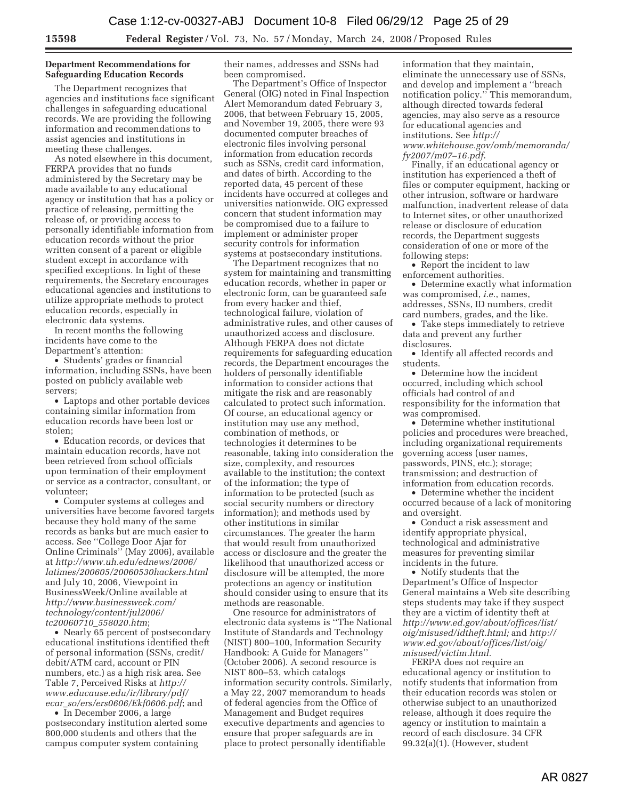## **Department Recommendations for Safeguarding Education Records**

The Department recognizes that agencies and institutions face significant challenges in safeguarding educational records. We are providing the following information and recommendations to assist agencies and institutions in meeting these challenges.

As noted elsewhere in this document, FERPA provides that no funds administered by the Secretary may be made available to any educational agency or institution that has a policy or practice of releasing, permitting the release of, or providing access to personally identifiable information from education records without the prior written consent of a parent or eligible student except in accordance with specified exceptions. In light of these requirements, the Secretary encourages educational agencies and institutions to utilize appropriate methods to protect education records, especially in electronic data systems.

In recent months the following incidents have come to the Department's attention:

• Students' grades or financial information, including SSNs, have been posted on publicly available web servers;

• Laptops and other portable devices containing similar information from education records have been lost or stolen;

• Education records, or devices that maintain education records, have not been retrieved from school officials upon termination of their employment or service as a contractor, consultant, or volunteer;

• Computer systems at colleges and universities have become favored targets because they hold many of the same records as banks but are much easier to access. See ''College Door Ajar for Online Criminals'' (May 2006), available at *http://www.uh.edu/ednews/2006/ latimes/200605/20060530hackers.html*  and July 10, 2006, Viewpoint in BusinessWeek/Online available at *http://www.businessweek.com/ technology/content/jul2006/ tc20060710*\_*558020.htm*;

• Nearly 65 percent of postsecondary educational institutions identified theft of personal information (SSNs, credit/ debit/ATM card, account or PIN numbers, etc.) as a high risk area. See Table 7, Perceived Risks at *http:// www.educause.edu/ir/library/pdf/ ecar*\_*so/ers/ers0606/Ekf0606.pdf*; and

• In December 2006, a large postsecondary institution alerted some 800,000 students and others that the campus computer system containing

their names, addresses and SSNs had been compromised.

The Department's Office of Inspector General (OIG) noted in Final Inspection Alert Memorandum dated February 3, 2006, that between February 15, 2005, and November 19, 2005, there were 93 documented computer breaches of electronic files involving personal information from education records such as SSNs, credit card information, and dates of birth. According to the reported data, 45 percent of these incidents have occurred at colleges and universities nationwide. OIG expressed concern that student information may be compromised due to a failure to implement or administer proper security controls for information systems at postsecondary institutions.

The Department recognizes that no system for maintaining and transmitting education records, whether in paper or electronic form, can be guaranteed safe from every hacker and thief, technological failure, violation of administrative rules, and other causes of unauthorized access and disclosure. Although FERPA does not dictate requirements for safeguarding education records, the Department encourages the holders of personally identifiable information to consider actions that mitigate the risk and are reasonably calculated to protect such information. Of course, an educational agency or institution may use any method, combination of methods, or technologies it determines to be reasonable, taking into consideration the size, complexity, and resources available to the institution; the context of the information; the type of information to be protected (such as social security numbers or directory information); and methods used by other institutions in similar circumstances. The greater the harm that would result from unauthorized access or disclosure and the greater the likelihood that unauthorized access or disclosure will be attempted, the more protections an agency or institution should consider using to ensure that its methods are reasonable.

One resource for administrators of electronic data systems is ''The National Institute of Standards and Technology (NIST) 800–100, Information Security Handbook: A Guide for Managers'' (October 2006). A second resource is NIST 800–53, which catalogs information security controls. Similarly, a May 22, 2007 memorandum to heads of federal agencies from the Office of Management and Budget requires executive departments and agencies to ensure that proper safeguards are in place to protect personally identifiable

information that they maintain, eliminate the unnecessary use of SSNs, and develop and implement a ''breach notification policy.'' This memorandum, although directed towards federal agencies, may also serve as a resource for educational agencies and institutions. See *http:// www.whitehouse.gov/omb/memoranda/ fy2007/m07–16.pdf*.

Finally, if an educational agency or institution has experienced a theft of files or computer equipment, hacking or other intrusion, software or hardware malfunction, inadvertent release of data to Internet sites, or other unauthorized release or disclosure of education records, the Department suggests consideration of one or more of the following steps:

• Report the incident to law enforcement authorities.

• Determine exactly what information was compromised, *i.e.*, names, addresses, SSNs, ID numbers, credit card numbers, grades, and the like.

• Take steps immediately to retrieve data and prevent any further disclosures.

• Identify all affected records and students.

• Determine how the incident occurred, including which school officials had control of and responsibility for the information that was compromised.

• Determine whether institutional policies and procedures were breached, including organizational requirements governing access (user names, passwords, PINS, etc.); storage; transmission; and destruction of information from education records.

• Determine whether the incident occurred because of a lack of monitoring and oversight.

• Conduct a risk assessment and identify appropriate physical, technological and administrative measures for preventing similar incidents in the future.

• Notify students that the Department's Office of Inspector General maintains a Web site describing steps students may take if they suspect they are a victim of identity theft at *http://www.ed.gov/about/offices/list/ oig/misused/idtheft.html;* and *http:// www.ed.gov/about/offices/list/oig/ misused/victim.html.* 

FERPA does not require an educational agency or institution to notify students that information from their education records was stolen or otherwise subject to an unauthorized release, although it does require the agency or institution to maintain a record of each disclosure. 34 CFR 99.32(a)(1). (However, student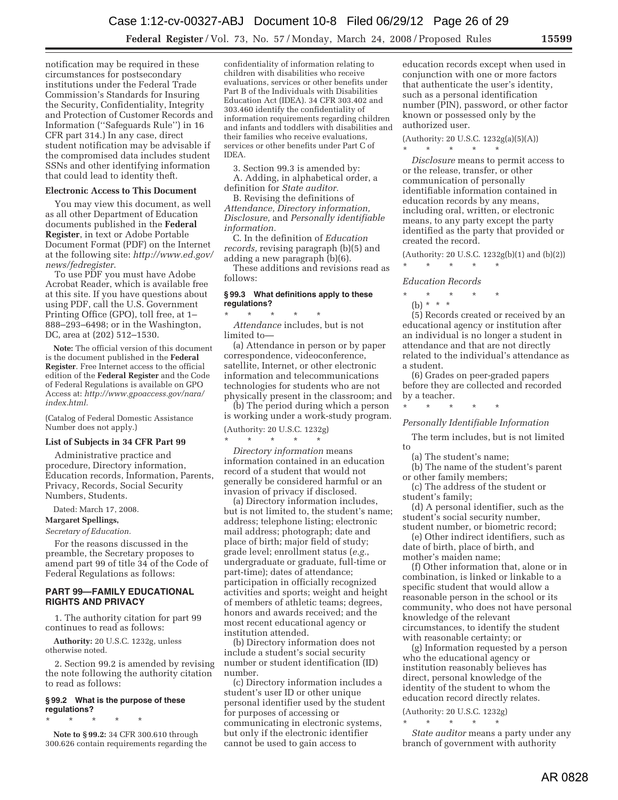notification may be required in these circumstances for postsecondary institutions under the Federal Trade Commission's Standards for Insuring the Security, Confidentiality, Integrity and Protection of Customer Records and Information (''Safeguards Rule'') in 16 CFR part 314.) In any case, direct student notification may be advisable if the compromised data includes student SSNs and other identifying information that could lead to identity theft.

#### **Electronic Access to This Document**

You may view this document, as well as all other Department of Education documents published in the **Federal Register**, in text or Adobe Portable Document Format (PDF) on the Internet at the following site: *http://www.ed.gov/ news/fedregister*.

To use PDF you must have Adobe Acrobat Reader, which is available free at this site. If you have questions about using PDF, call the U.S. Government Printing Office (GPO), toll free, at 1– 888–293–6498; or in the Washington, DC, area at (202) 512–1530.

**Note:** The official version of this document is the document published in the **Federal Register**. Free Internet access to the official edition of the **Federal Register** and the Code of Federal Regulations is available on GPO Access at: *http://www.gpoaccess.gov/nara/ index.html.* 

(Catalog of Federal Domestic Assistance Number does not apply.)

#### **List of Subjects in 34 CFR Part 99**

Administrative practice and procedure, Directory information, Education records, Information, Parents, Privacy, Records, Social Security Numbers, Students.

Dated: March 17, 2008.

## **Margaret Spellings,**

*Secretary of Education.* 

For the reasons discussed in the preamble, the Secretary proposes to amend part 99 of title 34 of the Code of Federal Regulations as follows:

## **PART 99—FAMILY EDUCATIONAL RIGHTS AND PRIVACY**

1. The authority citation for part 99 continues to read as follows:

**Authority:** 20 U.S.C. 1232g, unless otherwise noted.

2. Section 99.2 is amended by revising the note following the authority citation to read as follows:

## **§ 99.2 What is the purpose of these regulations?**

\* \* \* \* \* **Note to § 99.2:** 34 CFR 300.610 through 300.626 contain requirements regarding the confidentiality of information relating to children with disabilities who receive evaluations, services or other benefits under Part B of the Individuals with Disabilities Education Act (IDEA). 34 CFR 303.402 and 303.460 identify the confidentiality of information requirements regarding children and infants and toddlers with disabilities and their families who receive evaluations, services or other benefits under Part C of IDEA.

3. Section 99.3 is amended by:

A. Adding, in alphabetical order, a definition for *State auditor.* 

B. Revising the definitions of *Attendance, Directory information, Disclosure,* and *Personally identifiable information.* 

C. In the definition of *Education records,* revising paragraph (b)(5) and adding a new paragraph (b)(6).

These additions and revisions read as follows:

#### **§ 99.3 What definitions apply to these regulations?**  \* \* \* \* \*

*Attendance* includes, but is not limited to—

(a) Attendance in person or by paper correspondence, videoconference, satellite, Internet, or other electronic information and telecommunications technologies for students who are not physically present in the classroom; and

(b) The period during which a person is working under a work-study program.

(Authority: 20 U.S.C. 1232g)  $\star$   $\qquad$   $\star$   $\qquad$   $\star$ 

*Directory information* means information contained in an education record of a student that would not generally be considered harmful or an invasion of privacy if disclosed.

(a) Directory information includes, but is not limited to, the student's name; address; telephone listing; electronic mail address; photograph; date and place of birth; major field of study; grade level; enrollment status (*e.g.*, undergraduate or graduate, full-time or part-time); dates of attendance; participation in officially recognized activities and sports; weight and height of members of athletic teams; degrees, honors and awards received; and the most recent educational agency or institution attended.

(b) Directory information does not include a student's social security number or student identification (ID) number.

(c) Directory information includes a student's user ID or other unique personal identifier used by the student for purposes of accessing or communicating in electronic systems, but only if the electronic identifier cannot be used to gain access to

education records except when used in conjunction with one or more factors that authenticate the user's identity, such as a personal identification number (PIN), password, or other factor known or possessed only by the authorized user.

(Authority: 20 U.S.C. 1232g(a)(5)(A)) \* \* \* \* \*

*Disclosure* means to permit access to or the release, transfer, or other communication of personally identifiable information contained in education records by any means, including oral, written, or electronic means, to any party except the party identified as the party that provided or created the record.

(Authority: 20 U.S.C. 1232g(b)(1) and (b)(2))

\* \* \* \* \* *Education Records* 

\* \* \* \* \*

(b) \* \* \*

(5) Records created or received by an educational agency or institution after an individual is no longer a student in attendance and that are not directly related to the individual's attendance as a student.

(6) Grades on peer-graded papers before they are collected and recorded by a teacher.

\* \* \* \* \*

# *Personally Identifiable Information*

The term includes, but is not limited to

(a) The student's name;

(b) The name of the student's parent or other family members;

(c) The address of the student or student's family;

(d) A personal identifier, such as the student's social security number, student number, or biometric record;

(e) Other indirect identifiers, such as date of birth, place of birth, and mother's maiden name;

(f) Other information that, alone or in combination, is linked or linkable to a specific student that would allow a reasonable person in the school or its community, who does not have personal knowledge of the relevant circumstances, to identify the student with reasonable certainty; or

(g) Information requested by a person who the educational agency or institution reasonably believes has direct, personal knowledge of the identity of the student to whom the education record directly relates.

(Authority: 20 U.S.C. 1232g) \* \* \* \* \*

*State auditor* means a party under any branch of government with authority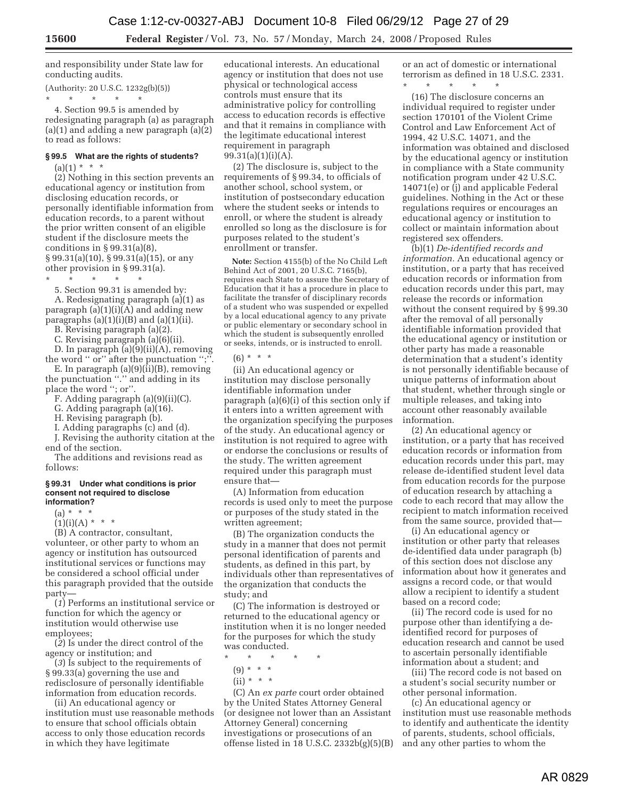and responsibility under State law for conducting audits.

(Authority: 20 U.S.C. 1232g(b)(5)) \* \* \* \* \*

4. Section 99.5 is amended by redesignating paragraph (a) as paragraph  $(a)(1)$  and adding a new paragraph  $(a)(2)$ to read as follows:

# **§ 99.5 What are the rights of students?**

 $(a)(1) * * * *$ 

(2) Nothing in this section prevents an educational agency or institution from disclosing education records, or personally identifiable information from education records, to a parent without the prior written consent of an eligible student if the disclosure meets the conditions in  $\S 99.31(a)(8)$ ,  $\S 99.31(a)(10), \S 99.31(a)(15),$  or any

other provision in § 99.31(a).

\* \* \* \* \* 5. Section 99.31 is amended by:

A. Redesignating paragraph (a)(1) as paragraph (a)(1)(i)(A) and adding new paragraphs  $(a)(1)(i)(B)$  and  $(a)(1)(ii)$ .

B. Revising paragraph (a)(2).

C. Revising paragraph (a)(6)(ii).

D. In paragraph (a)(9)(ii)(A), removing the word '' or'' after the punctuation '';''.

E. In paragraph (a)(9)(ii)(B), removing the punctuation ''.'' and adding in its place the word ''; or''.

F. Adding paragraph (a)(9)(ii)(C).

G. Adding paragraph (a)(16).

H. Revising paragraph (b).

I. Adding paragraphs (c) and (d).

J. Revising the authority citation at the end of the section.

The additions and revisions read as follows:

#### **§ 99.31 Under what conditions is prior consent not required to disclose information?**

(a) \* \* \*

 $(1)(i)(A) * * * *$ 

(B) A contractor, consultant, volunteer, or other party to whom an agency or institution has outsourced institutional services or functions may be considered a school official under this paragraph provided that the outside party—

(*1*) Performs an institutional service or function for which the agency or institution would otherwise use employees;

(*2*) Is under the direct control of the agency or institution; and

(*3*) Is subject to the requirements of § 99.33(a) governing the use and redisclosure of personally identifiable information from education records.

(ii) An educational agency or institution must use reasonable methods to ensure that school officials obtain access to only those education records in which they have legitimate

educational interests. An educational agency or institution that does not use physical or technological access controls must ensure that its administrative policy for controlling access to education records is effective and that it remains in compliance with the legitimate educational interest requirement in paragraph 99.31(a)(1)(i)(A).

(2) The disclosure is, subject to the requirements of § 99.34, to officials of another school, school system, or institution of postsecondary education where the student seeks or intends to enroll, or where the student is already enrolled so long as the disclosure is for purposes related to the student's enrollment or transfer.

**Note:** Section 4155(b) of the No Child Left Behind Act of 2001, 20 U.S.C. 7165(b), requires each State to assure the Secretary of Education that it has a procedure in place to facilitate the transfer of disciplinary records of a student who was suspended or expelled by a local educational agency to any private or public elementary or secondary school in which the student is subsequently enrolled or seeks, intends, or is instructed to enroll.

 $(6) * * * *$ 

(ii) An educational agency or institution may disclose personally identifiable information under paragraph (a)(6)(i) of this section only if it enters into a written agreement with the organization specifying the purposes of the study. An educational agency or institution is not required to agree with or endorse the conclusions or results of the study. The written agreement required under this paragraph must ensure that—

(A) Information from education records is used only to meet the purpose or purposes of the study stated in the written agreement;

(B) The organization conducts the study in a manner that does not permit personal identification of parents and students, as defined in this part, by individuals other than representatives of the organization that conducts the study; and

(C) The information is destroyed or returned to the educational agency or institution when it is no longer needed for the purposes for which the study was conducted.

\* \* \* \* \*

- (9) \* \* \*
- $(ii) * * * *$

(C) An *ex parte* court order obtained by the United States Attorney General (or designee not lower than an Assistant Attorney General) concerning investigations or prosecutions of an offense listed in 18 U.S.C. 2332b(g)(5)(B) or an act of domestic or international terrorism as defined in 18 U.S.C. 2331. \* \* \* \* \*

(16) The disclosure concerns an individual required to register under section 170101 of the Violent Crime Control and Law Enforcement Act of 1994, 42 U.S.C. 14071, and the information was obtained and disclosed by the educational agency or institution in compliance with a State community notification program under 42 U.S.C. 14071(e) or (j) and applicable Federal guidelines. Nothing in the Act or these regulations requires or encourages an educational agency or institution to collect or maintain information about registered sex offenders.

(b)(1) *De-identified records and information.* An educational agency or institution, or a party that has received education records or information from education records under this part, may release the records or information without the consent required by § 99.30 after the removal of all personally identifiable information provided that the educational agency or institution or other party has made a reasonable determination that a student's identity is not personally identifiable because of unique patterns of information about that student, whether through single or multiple releases, and taking into account other reasonably available information.

(2) An educational agency or institution, or a party that has received education records or information from education records under this part, may release de-identified student level data from education records for the purpose of education research by attaching a code to each record that may allow the recipient to match information received from the same source, provided that—

(i) An educational agency or institution or other party that releases de-identified data under paragraph (b) of this section does not disclose any information about how it generates and assigns a record code, or that would allow a recipient to identify a student based on a record code;

(ii) The record code is used for no purpose other than identifying a deidentified record for purposes of education research and cannot be used to ascertain personally identifiable information about a student; and

(iii) The record code is not based on a student's social security number or other personal information.

(c) An educational agency or institution must use reasonable methods to identify and authenticate the identity of parents, students, school officials, and any other parties to whom the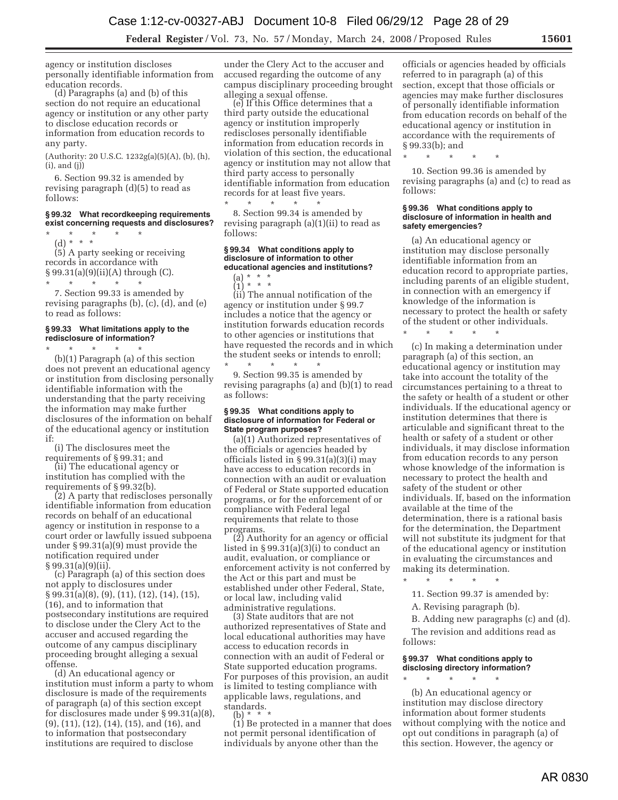agency or institution discloses personally identifiable information from education records.

(d) Paragraphs (a) and (b) of this section do not require an educational agency or institution or any other party to disclose education records or information from education records to any party.

(Authority: 20 U.S.C. 1232g(a)(5)(A), (b), (h),  $(i)$ , and  $(j)$ 

6. Section 99.32 is amended by revising paragraph (d)(5) to read as follows:

## **§ 99.32 What recordkeeping requirements exist concerning requests and disclosures?**

\* \* \* \* \* (d) \* \* \*

(5) A party seeking or receiving records in accordance with § 99.31(a)(9)(ii)(A) through (C). \* \* \* \* \*

7. Section 99.33 is amended by revising paragraphs (b), (c), (d), and (e) to read as follows:

#### **§ 99.33 What limitations apply to the redisclosure of information?**

\* \* \* \* \* (b)(1) Paragraph (a) of this section does not prevent an educational agency or institution from disclosing personally identifiable information with the understanding that the party receiving the information may make further disclosures of the information on behalf of the educational agency or institution if:

(i) The disclosures meet the<br>requirements of §99.31; and

(ii) The educational agency or institution has complied with the

requirements of § 99.32(b). (2) A party that rediscloses personally identifiable information from education records on behalf of an educational agency or institution in response to a court order or lawfully issued subpoena under § 99.31(a)(9) must provide the notification required under  $§ 99.31(a)(9)(ii).$ 

(c) Paragraph (a) of this section does not apply to disclosures under § 99.31(a)(8), (9), (11), (12), (14), (15), (16), and to information that postsecondary institutions are required to disclose under the Clery Act to the accuser and accused regarding the outcome of any campus disciplinary proceeding brought alleging a sexual offense.

(d) An educational agency or institution must inform a party to whom disclosure is made of the requirements of paragraph (a) of this section except for disclosures made under § 99.31(a)(8), (9), (11), (12), (14), (15), and (16), and to information that postsecondary institutions are required to disclose

under the Clery Act to the accuser and accused regarding the outcome of any campus disciplinary proceeding brought alleging a sexual offense. (e) If this Office determines that a

third party outside the educational agency or institution improperly rediscloses personally identifiable information from education records in violation of this section, the educational agency or institution may not allow that third party access to personally identifiable information from education records for at least five years. \* \* \* \* \*

8. Section 99.34 is amended by revising paragraph (a)(1)(ii) to read as follows:

# **§ 99.34 What conditions apply to disclosure of information to other educational agencies and institutions?**

(a) \* \* \*  $(1) * * * *$ 

(ii) The annual notification of the agency or institution under § 99.7 includes a notice that the agency or institution forwards education records to other agencies or institutions that have requested the records and in which the student seeks or intends to enroll;<br>\* \* \* \* \* \* \* \*

\* \* \* \* \* 9. Section 99.35 is amended by revising paragraphs (a) and (b)(1) to read as follows:

#### **§ 99.35 What conditions apply to disclosure of information for Federal or State program purposes?**

(a)(1) Authorized representatives of the officials or agencies headed by officials listed in § 99.31(a)(3)(i) may have access to education records in connection with an audit or evaluation of Federal or State supported education programs, or for the enforcement of or compliance with Federal legal requirements that relate to those<br>programs.

 $(2)$  Authority for an agency or official listed in § 99.31(a)(3)(i) to conduct an audit, evaluation, or compliance or enforcement activity is not conferred by the Act or this part and must be established under other Federal, State, or local law, including valid

administrative regulations. (3) State auditors that are not authorized representatives of State and local educational authorities may have access to education records in connection with an audit of Federal or State supported education programs. For purposes of this provision, an audit is limited to testing compliance with applicable laws, regulations, and standards.  $(b) *$ 

(1) Be protected in a manner that does not permit personal identification of individuals by anyone other than the

officials or agencies headed by officials referred to in paragraph (a) of this section, except that those officials or agencies may make further disclosures of personally identifiable information from education records on behalf of the educational agency or institution in accordance with the requirements of § 99.33(b); and

\* \* \* \* \*

10. Section 99.36 is amended by revising paragraphs (a) and (c) to read as follows:

#### **§ 99.36 What conditions apply to disclosure of information in health and safety emergencies?**

(a) An educational agency or institution may disclose personally identifiable information from an education record to appropriate parties, including parents of an eligible student, in connection with an emergency if knowledge of the information is necessary to protect the health or safety of the student or other individuals. \* \* \* \* \*

(c) In making a determination under paragraph (a) of this section, an educational agency or institution may take into account the totality of the circumstances pertaining to a threat to the safety or health of a student or other individuals. If the educational agency or institution determines that there is articulable and significant threat to the health or safety of a student or other individuals, it may disclose information from education records to any person whose knowledge of the information is necessary to protect the health and safety of the student or other individuals. If, based on the information available at the time of the determination, there is a rational basis for the determination, the Department will not substitute its judgment for that of the educational agency or institution in evaluating the circumstances and making its determination.

11. Section 99.37 is amended by:

A. Revising paragraph (b).

\* \* \* \* \*

B. Adding new paragraphs (c) and (d). The revision and additions read as

follows:

#### **§ 99.37 What conditions apply to disclosing directory information?**

\* \* \* \* \* (b) An educational agency or institution may disclose directory information about former students without complying with the notice and opt out conditions in paragraph (a) of this section. However, the agency or